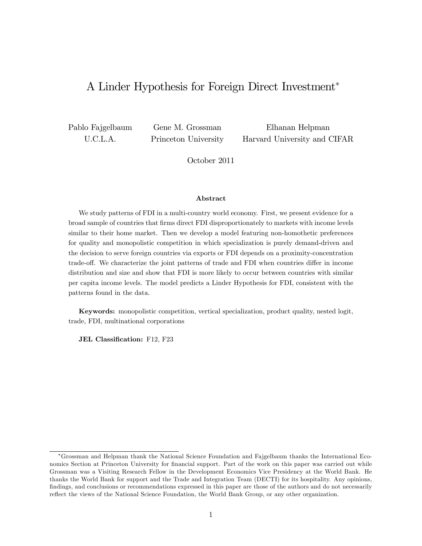# A Linder Hypothesis for Foreign Direct Investment

Pablo Fajgelbaum U.C.L.A.

Gene M. Grossman Princeton University

Elhanan Helpman Harvard University and CIFAR

October 2011

#### Abstract

We study patterns of FDI in a multi-country world economy. First, we present evidence for a broad sample of countries that Örms direct FDI disproportionately to markets with income levels similar to their home market. Then we develop a model featuring non-homothetic preferences for quality and monopolistic competition in which specialization is purely demand-driven and the decision to serve foreign countries via exports or FDI depends on a proximity-concentration trade-off. We characterize the joint patterns of trade and FDI when countries differ in income distribution and size and show that FDI is more likely to occur between countries with similar per capita income levels. The model predicts a Linder Hypothesis for FDI, consistent with the patterns found in the data.

Keywords: monopolistic competition, vertical specialization, product quality, nested logit, trade, FDI, multinational corporations

JEL Classification: F12, F23

Grossman and Helpman thank the National Science Foundation and Fajgelbaum thanks the International Economics Section at Princeton University for financial support. Part of the work on this paper was carried out while Grossman was a Visiting Research Fellow in the Development Economics Vice Presidency at the World Bank. He thanks the World Bank for support and the Trade and Integration Team (DECTI) for its hospitality. Any opinions, findings, and conclusions or recommendations expressed in this paper are those of the authors and do not necessarily reflect the views of the National Science Foundation, the World Bank Group, or any other organization.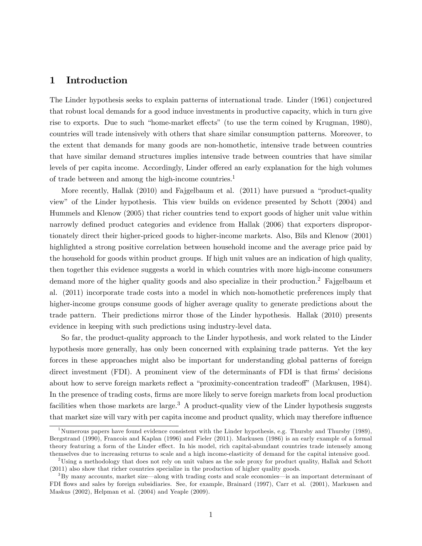## 1 Introduction

The Linder hypothesis seeks to explain patterns of international trade. Linder (1961) conjectured that robust local demands for a good induce investments in productive capacity, which in turn give rise to exports. Due to such "home-market effects" (to use the term coined by Krugman, 1980), countries will trade intensively with others that share similar consumption patterns. Moreover, to the extent that demands for many goods are non-homothetic, intensive trade between countries that have similar demand structures implies intensive trade between countries that have similar levels of per capita income. Accordingly, Linder offered an early explanation for the high volumes of trade between and among the high-income countries.<sup>1</sup>

More recently, Hallak  $(2010)$  and Fajgelbaum et al.  $(2011)$  have pursued a "product-quality" viewî of the Linder hypothesis. This view builds on evidence presented by Schott (2004) and Hummels and Klenow (2005) that richer countries tend to export goods of higher unit value within narrowly defined product categories and evidence from Hallak (2006) that exporters disproportionately direct their higher-priced goods to higher-income markets. Also, Bils and Klenow (2001) highlighted a strong positive correlation between household income and the average price paid by the household for goods within product groups. If high unit values are an indication of high quality, then together this evidence suggests a world in which countries with more high-income consumers demand more of the higher quality goods and also specialize in their production.<sup>2</sup> Fajgelbaum et al. (2011) incorporate trade costs into a model in which non-homothetic preferences imply that higher-income groups consume goods of higher average quality to generate predictions about the trade pattern. Their predictions mirror those of the Linder hypothesis. Hallak (2010) presents evidence in keeping with such predictions using industry-level data.

So far, the product-quality approach to the Linder hypothesis, and work related to the Linder hypothesis more generally, has only been concerned with explaining trade patterns. Yet the key forces in these approaches might also be important for understanding global patterns of foreign direct investment (FDI). A prominent view of the determinants of FDI is that firms' decisions about how to serve foreign markets reflect a "proximity-concentration tradeoff" (Markusen, 1984). In the presence of trading costs, firms are more likely to serve foreign markets from local production facilities when those markets are large.<sup>3</sup> A product-quality view of the Linder hypothesis suggests that market size will vary with per capita income and product quality, which may therefore influence

<sup>&</sup>lt;sup>1</sup>Numerous papers have found evidence consistent with the Linder hypothesis, e.g. Thursby and Thursby (1989), Bergstrand (1990), Francois and Kaplan (1996) and Fieler (2011). Markusen (1986) is an early example of a formal theory featuring a form of the Linder effect. In his model, rich capital-abundant countries trade intensely among themselves due to increasing returns to scale and a high income-elasticity of demand for the capital intensive good.

<sup>&</sup>lt;sup>2</sup>Using a methodology that does not rely on unit values as the sole proxy for product quality, Hallak and Schott (2011) also show that richer countries specialize in the production of higher quality goods.

<sup>&</sup>lt;sup>3</sup>By many accounts, market size—along with trading costs and scale economies—is an important determinant of FDI flows and sales by foreign subsidiaries. See, for example, Brainard (1997), Carr et al. (2001), Markusen and Maskus (2002), Helpman et al. (2004) and Yeaple (2009).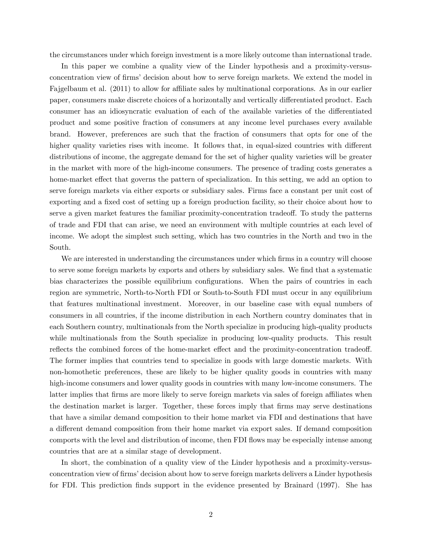the circumstances under which foreign investment is a more likely outcome than international trade.

In this paper we combine a quality view of the Linder hypothesis and a proximity-versusconcentration view of firms' decision about how to serve foreign markets. We extend the model in Fajgelbaum et al. (2011) to allow for affiliate sales by multinational corporations. As in our earlier paper, consumers make discrete choices of a horizontally and vertically differentiated product. Each consumer has an idiosyncratic evaluation of each of the available varieties of the differentiated product and some positive fraction of consumers at any income level purchases every available brand. However, preferences are such that the fraction of consumers that opts for one of the higher quality varieties rises with income. It follows that, in equal-sized countries with different distributions of income, the aggregate demand for the set of higher quality varieties will be greater in the market with more of the high-income consumers. The presence of trading costs generates a home-market effect that governs the pattern of specialization. In this setting, we add an option to serve foreign markets via either exports or subsidiary sales. Firms face a constant per unit cost of exporting and a fixed cost of setting up a foreign production facility, so their choice about how to serve a given market features the familiar proximity-concentration tradeoff. To study the patterns of trade and FDI that can arise, we need an environment with multiple countries at each level of income. We adopt the simplest such setting, which has two countries in the North and two in the South.

We are interested in understanding the circumstances under which firms in a country will choose to serve some foreign markets by exports and others by subsidiary sales. We find that a systematic bias characterizes the possible equilibrium configurations. When the pairs of countries in each region are symmetric, North-to-North FDI or South-to-South FDI must occur in any equilibrium that features multinational investment. Moreover, in our baseline case with equal numbers of consumers in all countries, if the income distribution in each Northern country dominates that in each Southern country, multinationals from the North specialize in producing high-quality products while multinationals from the South specialize in producing low-quality products. This result reflects the combined forces of the home-market effect and the proximity-concentration tradeoff. The former implies that countries tend to specialize in goods with large domestic markets. With non-homothetic preferences, these are likely to be higher quality goods in countries with many high-income consumers and lower quality goods in countries with many low-income consumers. The latter implies that firms are more likely to serve foreign markets via sales of foreign affiliates when the destination market is larger. Together, these forces imply that firms may serve destinations that have a similar demand composition to their home market via FDI and destinations that have a different demand composition from their home market via export sales. If demand composition comports with the level and distribution of income, then FDI flows may be especially intense among countries that are at a similar stage of development.

In short, the combination of a quality view of the Linder hypothesis and a proximity-versusconcentration view of firms' decision about how to serve foreign markets delivers a Linder hypothesis for FDI. This prediction finds support in the evidence presented by Brainard (1997). She has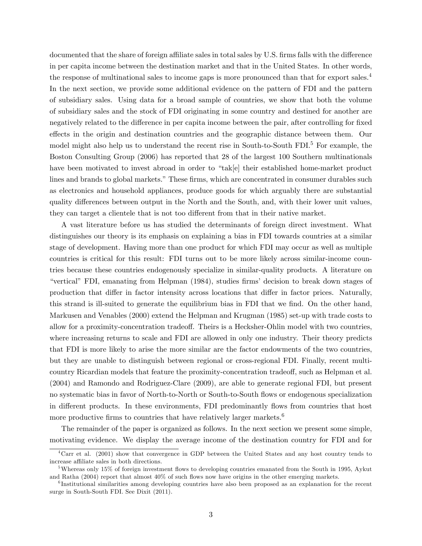documented that the share of foreign affiliate sales in total sales by U.S. firms falls with the difference in per capita income between the destination market and that in the United States. In other words, the response of multinational sales to income gaps is more pronounced than that for export sales.<sup>4</sup> In the next section, we provide some additional evidence on the pattern of FDI and the pattern of subsidiary sales. Using data for a broad sample of countries, we show that both the volume of subsidiary sales and the stock of FDI originating in some country and destined for another are negatively related to the difference in per capita income between the pair, after controlling for fixed effects in the origin and destination countries and the geographic distance between them. Our model might also help us to understand the recent rise in South-to-South FDI.<sup>5</sup> For example, the Boston Consulting Group (2006) has reported that 28 of the largest 100 Southern multinationals have been motivated to invest abroad in order to "tak[e] their established home-market product lines and brands to global markets." These firms, which are concentrated in consumer durables such as electronics and household appliances, produce goods for which arguably there are substantial quality differences between output in the North and the South, and, with their lower unit values, they can target a clientele that is not too different from that in their native market.

A vast literature before us has studied the determinants of foreign direct investment. What distinguishes our theory is its emphasis on explaining a bias in FDI towards countries at a similar stage of development. Having more than one product for which FDI may occur as well as multiple countries is critical for this result: FDI turns out to be more likely across similar-income countries because these countries endogenously specialize in similar-quality products. A literature on "vertical" FDI, emanating from Helpman (1984), studies firms' decision to break down stages of production that differ in factor intensity across locations that differ in factor prices. Naturally, this strand is ill-suited to generate the equilibrium bias in FDI that we find. On the other hand, Markusen and Venables (2000) extend the Helpman and Krugman (1985) set-up with trade costs to allow for a proximity-concentration tradeoff. Theirs is a Hecksher-Ohlin model with two countries, where increasing returns to scale and FDI are allowed in only one industry. Their theory predicts that FDI is more likely to arise the more similar are the factor endowments of the two countries, but they are unable to distinguish between regional or cross-regional FDI. Finally, recent multicountry Ricardian models that feature the proximity-concentration tradeoff, such as Helpman et al. (2004) and Ramondo and Rodriguez-Clare (2009), are able to generate regional FDI, but present no systematic bias in favor of North-to-North or South-to-South áows or endogenous specialization in different products. In these environments, FDI predominantly flows from countries that host more productive firms to countries that have relatively larger markets. $6$ 

The remainder of the paper is organized as follows. In the next section we present some simple, motivating evidence. We display the average income of the destination country for FDI and for

<sup>4</sup>Carr et al. (2001) show that convergence in GDP between the United States and any host country tends to increase affiliate sales in both directions.

 $5$ Whereas only 15% of foreign investment flows to developing countries emanated from the South in 1995, Aykut and Ratha  $(2004)$  report that almost  $40\%$  of such flows now have origins in the other emerging markets.

<sup>&</sup>lt;sup>6</sup>Institutional similarities among developing countries have also been proposed as an explanation for the recent surge in South-South FDI. See Dixit (2011).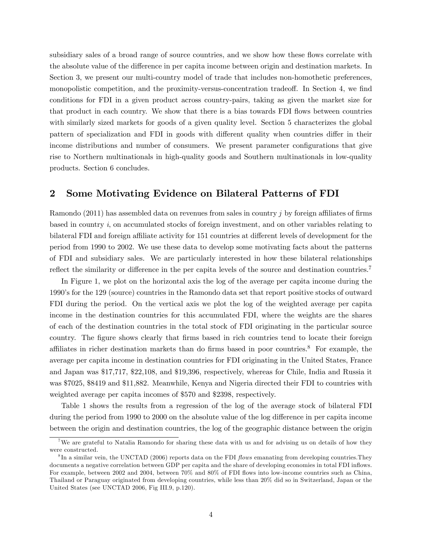subsidiary sales of a broad range of source countries, and we show how these flows correlate with the absolute value of the difference in per capita income between origin and destination markets. In Section 3, we present our multi-country model of trade that includes non-homothetic preferences, monopolistic competition, and the proximity-versus-concentration tradeoff. In Section 4, we find conditions for FDI in a given product across country-pairs, taking as given the market size for that product in each country. We show that there is a bias towards FDI flows between countries with similarly sized markets for goods of a given quality level. Section 5 characterizes the global pattern of specialization and FDI in goods with different quality when countries differ in their income distributions and number of consumers. We present parameter configurations that give rise to Northern multinationals in high-quality goods and Southern multinationals in low-quality products. Section 6 concludes.

### 2 Some Motivating Evidence on Bilateral Patterns of FDI

Ramondo (2011) has assembled data on revenues from sales in country  $j$  by foreign affiliates of firms based in country  $i$ , on accumulated stocks of foreign investment, and on other variables relating to bilateral FDI and foreign affiliate activity for 151 countries at different levels of development for the period from 1990 to 2002. We use these data to develop some motivating facts about the patterns of FDI and subsidiary sales. We are particularly interested in how these bilateral relationships reflect the similarity or difference in the per capita levels of the source and destination countries.<sup>7</sup>

In Figure 1, we plot on the horizontal axis the log of the average per capita income during the 1990ís for the 129 (source) countries in the Ramondo data set that report positive stocks of outward FDI during the period. On the vertical axis we plot the log of the weighted average per capita income in the destination countries for this accumulated FDI, where the weights are the shares of each of the destination countries in the total stock of FDI originating in the particular source country. The figure shows clearly that firms based in rich countries tend to locate their foreign affiliates in richer destination markets than do firms based in poor countries.<sup>8</sup> For example, the average per capita income in destination countries for FDI originating in the United States, France and Japan was \$17,717, \$22,108, and \$19,396, respectively, whereas for Chile, India and Russia it was \$7025, \$8419 and \$11,882. Meanwhile, Kenya and Nigeria directed their FDI to countries with weighted average per capita incomes of \$570 and \$2398, respectively.

Table 1 shows the results from a regression of the log of the average stock of bilateral FDI during the period from 1990 to 2000 on the absolute value of the log difference in per capita income between the origin and destination countries, the log of the geographic distance between the origin

<sup>&</sup>lt;sup>7</sup>We are grateful to Natalia Ramondo for sharing these data with us and for advising us on details of how they were constructed.

 ${}^{8}$ In a similar vein, the UNCTAD (2006) reports data on the FDI *flows* emanating from developing countries. They documents a negative correlation between GDP per capita and the share of developing economies in total FDI inflows. For example, between 2002 and 2004, between 70% and 80% of FDI flows into low-income countries such as China, Thailand or Paraguay originated from developing countries, while less than 20% did so in Switzerland, Japan or the United States (see UNCTAD 2006, Fig III.9, p.120).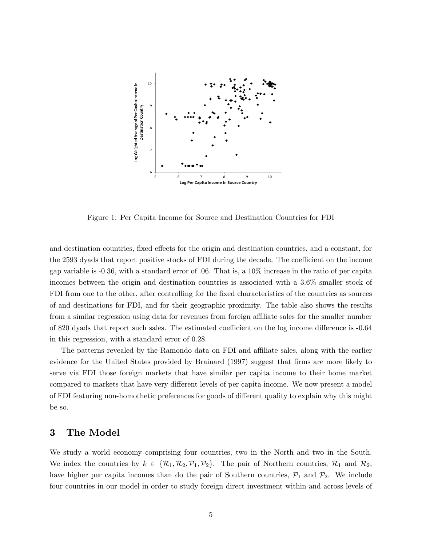

Figure 1: Per Capita Income for Source and Destination Countries for FDI

and destination countries, fixed effects for the origin and destination countries, and a constant, for the 2593 dyads that report positive stocks of FDI during the decade. The coefficient on the income gap variable is -0.36, with a standard error of .06. That is, a 10% increase in the ratio of per capita incomes between the origin and destination countries is associated with a 3.6% smaller stock of FDI from one to the other, after controlling for the fixed characteristics of the countries as sources of and destinations for FDI, and for their geographic proximity. The table also shows the results from a similar regression using data for revenues from foreign affiliate sales for the smaller number of 820 dyads that report such sales. The estimated coefficient on the log income difference is -0.64 in this regression, with a standard error of 0.28.

The patterns revealed by the Ramondo data on FDI and affiliate sales, along with the earlier evidence for the United States provided by Brainard (1997) suggest that firms are more likely to serve via FDI those foreign markets that have similar per capita income to their home market compared to markets that have very different levels of per capita income. We now present a model of FDI featuring non-homothetic preferences for goods of different quality to explain why this might be so.

## 3 The Model

We study a world economy comprising four countries, two in the North and two in the South. We index the countries by  $k \in \{R_1, R_2, P_1, P_2\}$ . The pair of Northern countries,  $R_1$  and  $R_2$ , have higher per capita incomes than do the pair of Southern countries,  $P_1$  and  $P_2$ . We include four countries in our model in order to study foreign direct investment within and across levels of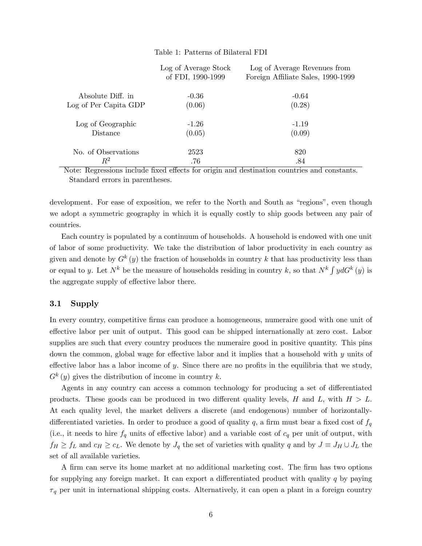### Table 1: Patterns of Bilateral FDI

|                       | Log of Average Stock<br>of FDI, 1990-1999 | Log of Average Revenues from<br>Foreign Affiliate Sales, 1990-1999 |
|-----------------------|-------------------------------------------|--------------------------------------------------------------------|
| Absolute Diff. in     | $-0.36$                                   | $-0.64$                                                            |
| Log of Per Capita GDP | (0.06)                                    | (0.28)                                                             |
| Log of Geographic     | $-1.26$                                   | $-1.19$                                                            |
| Distance              | (0.05)                                    | (0.09)                                                             |
| No. of Observations   | 2523                                      | 820                                                                |
| $\,R^2$               | .76                                       | .84                                                                |

Note: Regressions include fixed effects for origin and destination countries and constants. Standard errors in parentheses.

development. For ease of exposition, we refer to the North and South as "regions", even though we adopt a symmetric geography in which it is equally costly to ship goods between any pair of countries.

Each country is populated by a continuum of households. A household is endowed with one unit of labor of some productivity. We take the distribution of labor productivity in each country as given and denote by  $G^k(y)$  the fraction of households in country k that has productivity less than or equal to y. Let  $N^k$  be the measure of households residing in country k, so that  $N^k \int y dG^k(y)$  is the aggregate supply of effective labor there.

### 3.1 Supply

In every country, competitive firms can produce a homogeneous, numeraire good with one unit of effective labor per unit of output. This good can be shipped internationally at zero cost. Labor supplies are such that every country produces the numeraire good in positive quantity. This pins down the common, global wage for effective labor and it implies that a household with  $y$  units of effective labor has a labor income of y. Since there are no profits in the equilibria that we study,  $G^{k}(y)$  gives the distribution of income in country k.

Agents in any country can access a common technology for producing a set of differentiated products. These goods can be produced in two different quality levels, H and L, with  $H > L$ . At each quality level, the market delivers a discrete (and endogenous) number of horizontallydifferentiated varieties. In order to produce a good of quality q, a firm must bear a fixed cost of  $f_q$ (i.e., it needs to hire  $f_q$  units of effective labor) and a variable cost of  $c_q$  per unit of output, with  $f_H \ge f_L$  and  $c_H \ge c_L$ . We denote by  $J_q$  the set of varieties with quality q and by  $J \equiv J_H \cup J_L$  the set of all available varieties.

A firm can serve its home market at no additional marketing cost. The firm has two options for supplying any foreign market. It can export a differentiated product with quality  $q$  by paying  $\tau_q$  per unit in international shipping costs. Alternatively, it can open a plant in a foreign country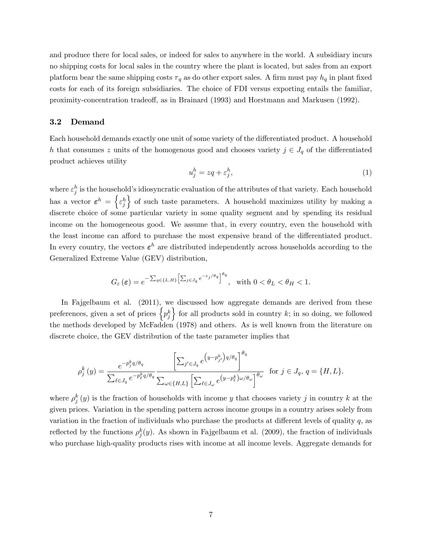and produce there for local sales, or indeed for sales to anywhere in the world. A subsidiary incurs no shipping costs for local sales in the country where the plant is located, but sales from an export platform bear the same shipping costs  $\tau_q$  as do other export sales. A firm must pay  $h_q$  in plant fixed costs for each of its foreign subsidiaries. The choice of FDI versus exporting entails the familiar, proximity-concentration tradeo§, as in Brainard (1993) and Horstmann and Markusen (1992).

#### 3.2 Demand

Each household demands exactly one unit of some variety of the differentiated product. A household h that consumes z units of the homogenous good and chooses variety  $j \in J_q$  of the differentiated product achieves utility

$$
u_j^h = zq + \varepsilon_j^h,\tag{1}
$$

where  $\varepsilon_j^h$  is the household's idiosyncratic evaluation of the attributes of that variety. Each household has a vector  $\varepsilon^h = \left\{ \varepsilon_j^h \right\}$ o of such taste parameters. A household maximizes utility by making a discrete choice of some particular variety in some quality segment and by spending its residual income on the homogeneous good. We assume that, in every country, even the household with the least income can afford to purchase the most expensive brand of the differentiated product. In every country, the vectors  $\varepsilon^h$  are distributed independently across households according to the Generalized Extreme Value (GEV) distribution,

$$
G_{\varepsilon}(\varepsilon) = e^{-\sum_{q\in\{L,H\}} \left[\sum_{j\in J_q} e^{-\varepsilon_j/\theta_q}\right]^{\theta_q}}, \quad \text{with } 0 < \theta_L < \theta_H < 1.
$$

In Fajgelbaum et al.  $(2011)$ , we discussed how aggregate demands are derived from these preferences, given a set of prices  $\left\{p_j^k\right\}$ for all products sold in country  $k$ ; in so doing, we followed the methods developed by McFadden (1978) and others. As is well known from the literature on discrete choice, the GEV distribution of the taste parameter implies that

$$
\rho_j^k(y) = \frac{e^{-p_j^k q/\theta_q}}{\sum_{\ell \in J_q} e^{-p_\ell^k q/\theta_q}} \frac{\left[\sum_{j' \in J_q} e^{y - p_{j'}^k} \right]^{q/\theta_q}}{\sum_{\omega \in \{H, L\}} \left[\sum_{\ell \in J_\omega} e^{y - p_\ell^k} \right]^{q/\theta_\omega}} \text{ for } j \in J_q, q = \{H, L\}.
$$

where  $\rho_j^k(y)$  is the fraction of households with income y that chooses variety j in country k at the given prices. Variation in the spending pattern across income groups in a country arises solely from variation in the fraction of individuals who purchase the products at different levels of quality  $q$ , as reflected by the functions  $\rho_j^k(y)$ . As shown in Fajgelbaum et al. (2009), the fraction of individuals who purchase high-quality products rises with income at all income levels. Aggregate demands for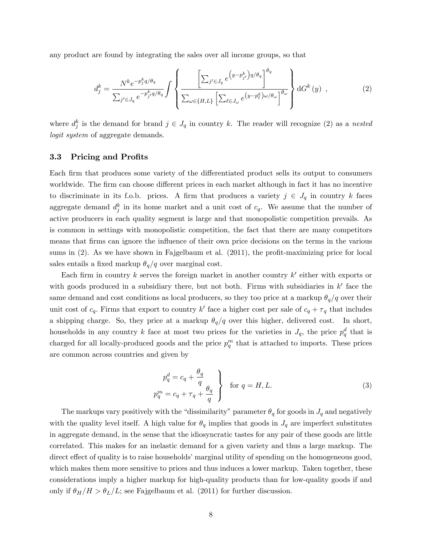any product are found by integrating the sales over all income groups, so that

$$
d_j^k = \frac{N^k e^{-p_j^k q/\theta_q}}{\sum_{j' \in J_q} e^{-p_{j'}^k q/\theta_q}} \int \left\{ \frac{\left[\sum_{j' \in J_q} e^{\left(y - p_{j'}^k\right) q/\theta_q}\right]^{\theta_q}}{\sum_{\omega \in \{H, L\}} \left[\sum_{\ell \in J_\omega} e^{\left(y - p_\ell^k\right) \omega/\theta_\omega}\right]^{\theta_\omega}} \right\} dG^k(y) , \tag{2}
$$

where  $d_j^k$  is the demand for brand  $j \in J_q$  in country k. The reader will recognize (2) as a nested logit system of aggregate demands.

#### 3.3 Pricing and Profits

Each firm that produces some variety of the differentiated product sells its output to consumers worldwide. The firm can choose different prices in each market although in fact it has no incentive to discriminate in its f.o.b. prices. A firm that produces a variety  $j \in J_q$  in country k faces aggregate demand  $d_j^k$  in its home market and a unit cost of  $c_q$ . We assume that the number of active producers in each quality segment is large and that monopolistic competition prevails. As is common in settings with monopolistic competition, the fact that there are many competitors means that firms can ignore the influence of their own price decisions on the terms in the various sums in  $(2)$ . As we have shown in Fajgelbaum et al.  $(2011)$ , the profit-maximizing price for local sales entails a fixed markup  $\theta_q/q$  over marginal cost.

Each firm in country k serves the foreign market in another country  $k'$  either with exports or with goods produced in a subsidiary there, but not both. Firms with subsidiaries in  $k'$  face the same demand and cost conditions as local producers, so they too price at a markup  $\theta_q/q$  over their unit cost of  $c_q$ . Firms that export to country k' face a higher cost per sale of  $c_q + \tau_q$  that includes a shipping charge. So, they price at a markup  $\theta_q/q$  over this higher, delivered cost. In short, households in any country k face at most two prices for the varieties in  $J_q$ , the price  $p_q^d$  that is charged for all locally-produced goods and the price  $p_q^m$  that is attached to imports. These prices are common across countries and given by

$$
p_q^d = c_q + \frac{\theta_q}{q}
$$
  

$$
p_q^m = c_q + \tau_q + \frac{\theta_q}{q}
$$
 for  $q = H, L.$  (3)

The markups vary positively with the "dissimilarity" parameter  $\theta_q$  for goods in  $J_q$  and negatively with the quality level itself. A high value for  $\theta_q$  implies that goods in  $J_q$  are imperfect substitutes in aggregate demand, in the sense that the idiosyncratic tastes for any pair of these goods are little correlated. This makes for an inelastic demand for a given variety and thus a large markup. The direct effect of quality is to raise households' marginal utility of spending on the homogeneous good, which makes them more sensitive to prices and thus induces a lower markup. Taken together, these considerations imply a higher markup for high-quality products than for low-quality goods if and only if  $\theta_H/H > \theta_L/L$ ; see Fajgelbaum et al. (2011) for further discussion.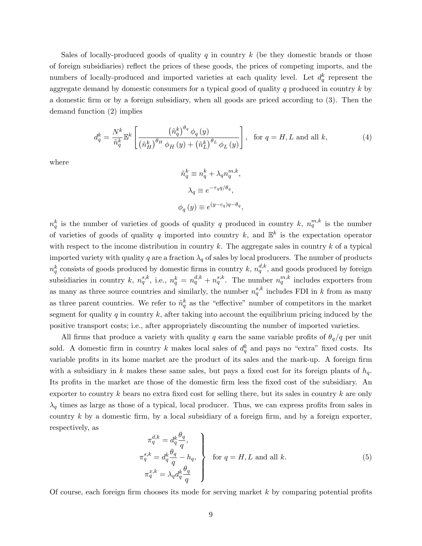Sales of locally-produced goods of quality  $q$  in country  $k$  (be they domestic brands or those of foreign subsidiaries) reáect the prices of these goods, the prices of competing imports, and the numbers of locally-produced and imported varieties at each quality level. Let  $d_q^k$  represent the aggregate demand by domestic consumers for a typical good of quality  $q$  produced in country  $k$  by a domestic Örm or by a foreign subsidiary, when all goods are priced according to (3). Then the demand function (2) implies

$$
d_q^k = \frac{N^k}{\tilde{n}_q^k} \mathbb{E}^k \left[ \frac{\left(\tilde{n}_q^k\right)^{\theta_q} \phi_q\left(y\right)}{\left(\tilde{n}_H^k\right)^{\theta_H} \phi_H\left(y\right) + \left(\tilde{n}_L^k\right)^{\theta_L} \phi_L\left(y\right)} \right], \text{ for } q = H, L \text{ and all } k,
$$
\n
$$
(4)
$$

where

$$
\tilde{n}_q^k \equiv n_q^k + \lambda_q n_q^{m,k},
$$
  

$$
\lambda_q \equiv e^{-\tau_q q/\theta_q},
$$
  

$$
\phi_q(y) \equiv e^{(y-c_q)q - \theta_q},
$$

 $n_q^k$  is the number of varieties of goods of quality q produced in country k,  $n_q^{m,k}$  is the number of varieties of goods of quality q imported into country k, and  $\mathbb{E}^k$  is the expectation operator with respect to the income distribution in country  $k$ . The aggregate sales in country  $k$  of a typical imported variety with quality q are a fraction  $\lambda_q$  of sales by local producers. The number of products  $n_q^k$  consists of goods produced by domestic firms in country k,  $n_q^{d,k}$ , and goods produced by foreign subsidiaries in country k,  $n_q^{s,k}$ , i.e.,  $n_q^k = n_q^{d,k} + n_q^{s,k}$ . The number  $n_q^{m,k}$  includes exporters from as many as three source countries and similarly, the number  $n_q^{s,k}$  includes FDI in k from as many as three parent countries. We refer to  $\tilde{n}_q^k$  as the "effective" number of competitors in the market segment for quality q in country  $k$ , after taking into account the equilibrium pricing induced by the positive transport costs; i.e., after appropriately discounting the number of imported varieties.

All firms that produce a variety with quality q earn the same variable profits of  $\theta_q/q$  per unit sold. A domestic firm in country k makes local sales of  $d_q^k$  and pays no "extra" fixed costs. Its variable profits in its home market are the product of its sales and the mark-up. A foreign firm with a subsidiary in k makes these same sales, but pays a fixed cost for its foreign plants of  $h_q$ . Its profits in the market are those of the domestic firm less the fixed cost of the subsidiary. An exporter to country  $k$  bears no extra fixed cost for selling there, but its sales in country  $k$  are only  $\lambda_q$  times as large as those of a typical, local producer. Thus, we can express profits from sales in country  $k$  by a domestic firm, by a local subsidiary of a foreign firm, and by a foreign exporter, respectively, as

$$
\pi_q^{d,k} = d_q^k \frac{\theta_q}{q},
$$
\n
$$
\pi_q^{s,k} = d_q^k \frac{\theta_q}{q} - h_q,
$$
\n
$$
\pi_q^{x,k} = \lambda_q d_q^k \frac{\theta_q}{q}
$$
\nfor  $q = H, L$  and all  $k$ .\n
$$
(5)
$$

Of course, each foreign firm chooses its mode for serving market  $k$  by comparing potential profits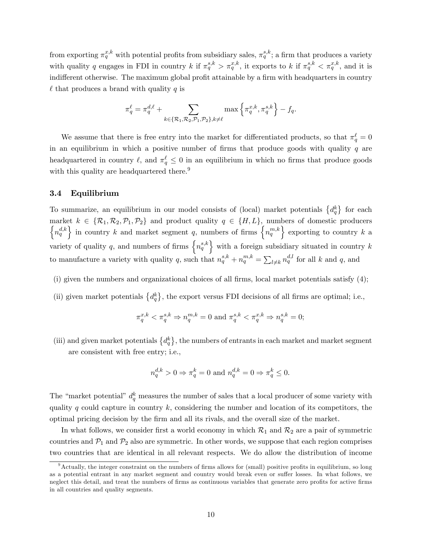from exporting  $\pi_q^{x,k}$  with potential profits from subsidiary sales,  $\pi_q^{s,k}$ ; a firm that produces a variety with quality q engages in FDI in country k if  $\pi_q^{s,k} > \pi_q^{x,k}$ , it exports to k if  $\pi_q^{s,k} < \pi_q^{x,k}$ , and it is indifferent otherwise. The maximum global profit attainable by a firm with headquarters in country  $\ell$  that produces a brand with quality q is

$$
\pi_q^{\ell} = \pi_q^{d,\ell} + \sum_{k \in \{\mathcal{R}_1, \mathcal{R}_2, \mathcal{P}_1, \mathcal{P}_2\}, k \neq \ell} \max \left\{ \pi_q^{x,k}, \pi_q^{s,k} \right\} - f_q.
$$

We assume that there is free entry into the market for differentiated products, so that  $\pi_q^{\ell} = 0$ in an equilibrium in which a positive number of firms that produce goods with quality  $q$  are headquartered in country  $\ell$ , and  $\pi_q^{\ell} \leq 0$  in an equilibrium in which no firms that produce goods with this quality are headquartered there.<sup>9</sup>

### 3.4 Equilibrium

To summarize, an equilibrium in our model consists of (local) market potentials  $\{d_q^k\}$  for each market  $k \in {\mathcal{R}_1, \mathcal{R}_2, \mathcal{P}_1, \mathcal{P}_2}$  and product quality  $q \in {\mathcal{H}, L}$ , numbers of domestic producers  $\left\{n_q^{d,k}\right\}$  in country k and market segment q, numbers of firms  $\left\{n_q^{m,k}\right\}$  exporting to country k a variety of quality q, and numbers of firms  $\{n_q^{s,k}\}\$  with a foreign subsidiary situated in country k to manufacture a variety with quality q, such that  $n_q^{s,k} + n_q^{m,k} = \sum_{l \neq k} n_q^{d,l}$  for all k and q, and

- (i) given the numbers and organizational choices of all firms, local market potentials satisfy  $(4)$ ;
- (ii) given market potentials  $\{d_q^k\}$ , the export versus FDI decisions of all firms are optimal; i.e.,

$$
\pi_q^{x,k} < \pi_q^{s,k} \Rightarrow n_q^{m,k} = 0 \text{ and } \pi_q^{s,k} < \pi_q^{x,k} \Rightarrow n_q^{s,k} = 0;
$$

(iii) and given market potentials  $\{d_q^k\}$ , the numbers of entrants in each market and market segment are consistent with free entry; i.e.,

$$
n^{d,k}_q>0\Rightarrow \pi^k_q=0 \text{ and } n^{d,k}_q=0\Rightarrow \pi^k_q\leq 0.
$$

The "market potential"  $d_q^k$  measures the number of sales that a local producer of some variety with quality q could capture in country  $k$ , considering the number and location of its competitors, the optimal pricing decision by the Örm and all its rivals, and the overall size of the market.

In what follows, we consider first a world economy in which  $\mathcal{R}_1$  and  $\mathcal{R}_2$  are a pair of symmetric countries and  $\mathcal{P}_1$  and  $\mathcal{P}_2$  also are symmetric. In other words, we suppose that each region comprises two countries that are identical in all relevant respects. We do allow the distribution of income

 $9$ Actually, the integer constraint on the numbers of firms allows for (small) positive profits in equilibrium, so long as a potential entrant in any market segment and country would break even or suffer losses. In what follows, we neglect this detail, and treat the numbers of firms as continuous variables that generate zero profits for active firms in all countries and quality segments.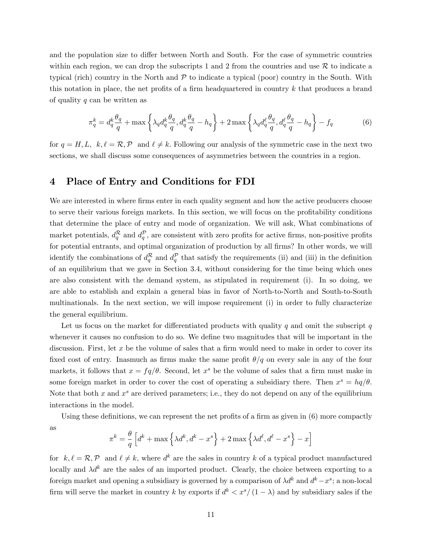and the population size to differ between North and South. For the case of symmetric countries within each region, we can drop the subscripts 1 and 2 from the countries and use  $R$  to indicate a typical (rich) country in the North and  $\mathcal P$  to indicate a typical (poor) country in the South. With this notation in place, the net profits of a firm headquartered in country  $k$  that produces a brand of quality q can be written as

$$
\pi_q^k = d_q^k \frac{\theta_q}{q} + \max\left\{\lambda_q d_q^k \frac{\theta_q}{q}, d_q^k \frac{\theta_q}{q} - h_q\right\} + 2 \max\left\{\lambda_q d_q^\ell \frac{\theta_q}{q}, d_q^\ell \frac{\theta_q}{q} - h_q\right\} - f_q \tag{6}
$$

for  $q = H, L, k, \ell = \mathcal{R}, \mathcal{P}$  and  $\ell \neq k$ . Following our analysis of the symmetric case in the next two sections, we shall discuss some consequences of asymmetries between the countries in a region.

## 4 Place of Entry and Conditions for FDI

We are interested in where firms enter in each quality segment and how the active producers choose to serve their various foreign markets. In this section, we will focus on the profitability conditions that determine the place of entry and mode of organization. We will ask, What combinations of market potentials,  $d_q^{\mathcal{R}}$  and  $d_q^{\mathcal{P}}$ , are consistent with zero profits for active firms, non-positive profits for potential entrants, and optimal organization of production by all firms? In other words, we will identify the combinations of  $d_q^{\mathcal{R}}$  and  $d_q^{\mathcal{P}}$  that satisfy the requirements (ii) and (iii) in the definition of an equilibrium that we gave in Section 3.4, without considering for the time being which ones are also consistent with the demand system, as stipulated in requirement (i). In so doing, we are able to establish and explain a general bias in favor of North-to-North and South-to-South multinationals. In the next section, we will impose requirement (i) in order to fully characterize the general equilibrium.

Let us focus on the market for differentiated products with quality q and omit the subscript  $q$ whenever it causes no confusion to do so. We define two magnitudes that will be important in the discussion. First, let  $x$  be the volume of sales that a firm would need to make in order to cover its fixed cost of entry. Inasmuch as firms make the same profit  $\theta/q$  on every sale in any of the four markets, it follows that  $x = \frac{fq}{\theta}$ . Second, let  $x^s$  be the volume of sales that a firm must make in some foreign market in order to cover the cost of operating a subsidiary there. Then  $x^s = hq/\theta$ . Note that both x and  $x^s$  are derived parameters; i.e., they do not depend on any of the equilibrium interactions in the model.

Using these definitions, we can represent the net profits of a firm as given in  $(6)$  more compactly as

$$
\pi^{k} = \frac{\theta}{q} \left[ d^{k} + \max \left\{ \lambda d^{k}, d^{k} - x^{s} \right\} + 2 \max \left\{ \lambda d^{\ell}, d^{\ell} - x^{s} \right\} - x \right]
$$

for  $k, \ell = \mathcal{R}, \mathcal{P}$  and  $\ell \neq k$ , where  $d^k$  are the sales in country k of a typical product manufactured locally and  $\lambda d^k$  are the sales of an imported product. Clearly, the choice between exporting to a foreign market and opening a subsidiary is governed by a comparison of  $\lambda d^k$  and  $d^k - x^s$ ; a non-local firm will serve the market in country k by exports if  $d^k < x^s/(1 - \lambda)$  and by subsidiary sales if the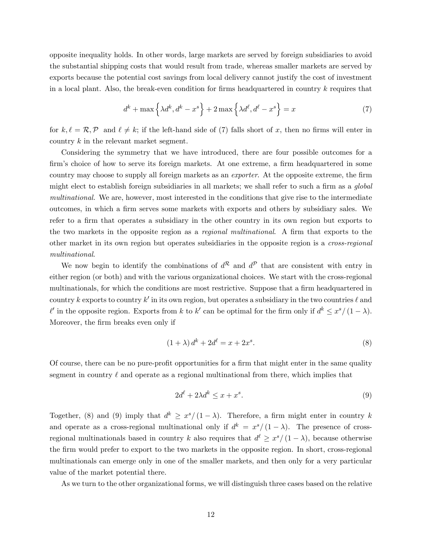opposite inequality holds. In other words, large markets are served by foreign subsidiaries to avoid the substantial shipping costs that would result from trade, whereas smaller markets are served by exports because the potential cost savings from local delivery cannot justify the cost of investment in a local plant. Also, the break-even condition for firms headquartered in country  $k$  requires that

$$
d^k + \max\left\{\lambda d^k, d^k - x^s\right\} + 2\max\left\{\lambda d^\ell, d^\ell - x^s\right\} = x\tag{7}
$$

for  $k, \ell = \mathcal{R}, \mathcal{P}$  and  $\ell \neq k$ ; if the left-hand side of (7) falls short of x, then no firms will enter in country k in the relevant market segment.

Considering the symmetry that we have introduced, there are four possible outcomes for a firm's choice of how to serve its foreign markets. At one extreme, a firm headquartered in some country may choose to supply all foreign markets as an *exporter*. At the opposite extreme, the firm might elect to establish foreign subsidiaries in all markets; we shall refer to such a firm as a  $global$ multinational. We are, however, most interested in the conditions that give rise to the intermediate outcomes, in which a firm serves some markets with exports and others by subsidiary sales. We refer to a firm that operates a subsidiary in the other country in its own region but exports to the two markets in the opposite region as a *regional multinational*. A firm that exports to the other market in its own region but operates subsidiaries in the opposite region is a cross-regional multinational.

We now begin to identify the combinations of  $d^{\mathcal{R}}$  and  $d^{\mathcal{P}}$  that are consistent with entry in either region (or both) and with the various organizational choices. We start with the cross-regional multinationals, for which the conditions are most restrictive. Suppose that a firm headquartered in country k exports to country k' in its own region, but operates a subsidiary in the two countries  $\ell$  and  $\ell'$  in the opposite region. Exports from k to k' can be optimal for the firm only if  $d^k \leq x^s/(1-\lambda)$ . Moreover, the firm breaks even only if

$$
(1 + \lambda) d^{k} + 2d^{\ell} = x + 2x^{s}.
$$
 (8)

Of course, there can be no pure-profit opportunities for a firm that might enter in the same quality segment in country  $\ell$  and operate as a regional multinational from there, which implies that

$$
2d^{\ell} + 2\lambda d^k \le x + x^s. \tag{9}
$$

Together, (8) and (9) imply that  $d^k \geq x^s/(1-\lambda)$ . Therefore, a firm might enter in country k and operate as a cross-regional multinational only if  $d^k = x^s/(1-\lambda)$ . The presence of crossregional multinationals based in country k also requires that  $d^{\ell} \geq x^{s}/(1-\lambda)$ , because otherwise the Örm would prefer to export to the two markets in the opposite region. In short, cross-regional multinationals can emerge only in one of the smaller markets, and then only for a very particular value of the market potential there.

As we turn to the other organizational forms, we will distinguish three cases based on the relative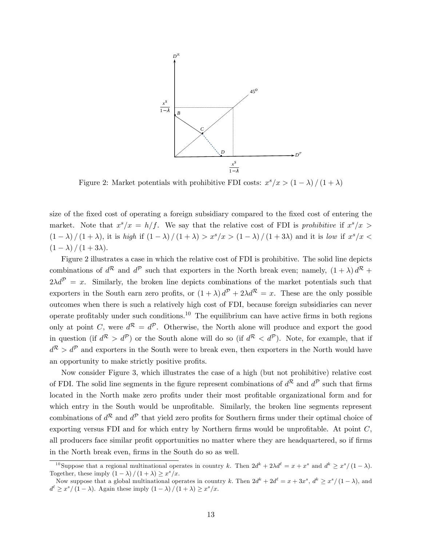

Figure 2: Market potentials with prohibitive FDI costs:  $x^s/x > (1 - \lambda) / (1 + \lambda)$ 

size of the fixed cost of operating a foreign subsidiary compared to the fixed cost of entering the market. Note that  $x^{s}/x = h/f$ . We say that the relative cost of FDI is prohibitive if  $x^{s}/x$  $(1 - \lambda) / (1 + \lambda)$ , it is high if  $(1 - \lambda) / (1 + \lambda) > x^{s} / x > (1 - \lambda) / (1 + 3\lambda)$  and it is low if  $x^{s} / x <$  $(1 - \lambda) / (1 + 3\lambda)$ .

Figure 2 illustrates a case in which the relative cost of FDI is prohibitive. The solid line depicts combinations of  $d^{\mathcal{R}}$  and  $d^{\mathcal{P}}$  such that exporters in the North break even; namely,  $(1+\lambda) d^{\mathcal{R}}$  +  $2\lambda d^{\mathcal{P}} = x$ . Similarly, the broken line depicts combinations of the market potentials such that exporters in the South earn zero profits, or  $(1 + \lambda) d^{\gamma} + 2\lambda d^{\kappa} = x$ . These are the only possible outcomes when there is such a relatively high cost of FDI, because foreign subsidiaries can never operate profitably under such conditions.<sup>10</sup> The equilibrium can have active firms in both regions only at point C, were  $d^R = d^P$ . Otherwise, the North alone will produce and export the good in question (if  $d^{R} > d^{P}$ ) or the South alone will do so (if  $d^{R} < d^{P}$ ). Note, for example, that if  $d^{\mathcal{R}} > d^{\mathcal{P}}$  and exporters in the South were to break even, then exporters in the North would have an opportunity to make strictly positive profits.

Now consider Figure 3, which illustrates the case of a high (but not prohibitive) relative cost of FDI. The solid line segments in the figure represent combinations of  $d^{\mathcal{R}}$  and  $d^{\mathcal{P}}$  such that firms located in the North make zero profits under their most profitable organizational form and for which entry in the South would be unprofitable. Similarly, the broken line segments represent combinations of  $d^{\mathcal{R}}$  and  $d^{\mathcal{P}}$  that yield zero profits for Southern firms under their optimal choice of exporting versus FDI and for which entry by Northern firms would be unprofitable. At point  $C$ , all producers face similar profit opportunities no matter where they are headquartered, so if firms in the North break even, firms in the South do so as well.

<sup>&</sup>lt;sup>10</sup>Suppose that a regional multinational operates in country k. Then  $2d^k + 2\lambda d^{\ell} = x + x^s$  and  $d^k \geq x^s/(1-\lambda)$ . Together, these imply  $(1 - \lambda) / (1 + \lambda) \geq x^s / x$ .

Now suppose that a global multinational operates in country k. Then  $2d^k + 2d^{\ell} = x + 3x^s$ ,  $d^k \geq x^s/(1 - \lambda)$ , and  $d^{\ell} \geq x^s / (1 - \lambda)$ . Again these imply  $(1 - \lambda) / (1 + \lambda) \geq x^s / x$ .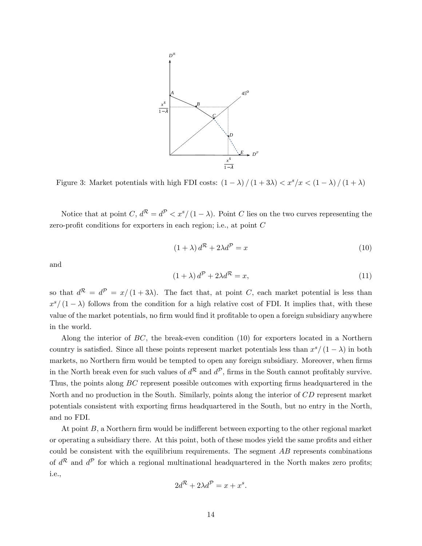

Figure 3: Market potentials with high FDI costs:  $(1 - \lambda) / (1 + 3\lambda) < x^s / x < (1 - \lambda) / (1 + \lambda)$ 

Notice that at point  $C, d^R = d^P < x^s/(1 - \lambda)$ . Point C lies on the two curves representing the zero-profit conditions for exporters in each region; i.e., at point  $C$ 

$$
(1 + \lambda) d^{R} + 2\lambda d^{P} = x \tag{10}
$$

and

$$
(1+\lambda) d^{\mathcal{P}} + 2\lambda d^{\mathcal{R}} = x,\tag{11}
$$

so that  $d^{R} = d^{P} = x/(1+3\lambda)$ . The fact that, at point C, each market potential is less than  $x^{s}/(1-\lambda)$  follows from the condition for a high relative cost of FDI. It implies that, with these value of the market potentials, no firm would find it profitable to open a foreign subsidiary anywhere in the world.

Along the interior of BC, the break-even condition (10) for exporters located in a Northern country is satisfied. Since all these points represent market potentials less than  $x^{s}/(1 - \lambda)$  in both markets, no Northern firm would be tempted to open any foreign subsidiary. Moreover, when firms in the North break even for such values of  $d^{\mathcal{R}}$  and  $d^{\mathcal{P}}$ , firms in the South cannot profitably survive. Thus, the points along  $BC$  represent possible outcomes with exporting firms headquartered in the North and no production in the South. Similarly, points along the interior of CD represent market potentials consistent with exporting Örms headquartered in the South, but no entry in the North, and no FDI.

At point  $B$ , a Northern firm would be indifferent between exporting to the other regional market or operating a subsidiary there. At this point, both of these modes yield the same profits and either could be consistent with the equilibrium requirements. The segment  $AB$  represents combinations of  $d^{\mathcal{R}}$  and  $d^{\mathcal{P}}$  for which a regional multinational headquartered in the North makes zero profits; i.e.,

$$
2d^{\mathcal{R}} + 2\lambda d^{\mathcal{P}} = x + x^s.
$$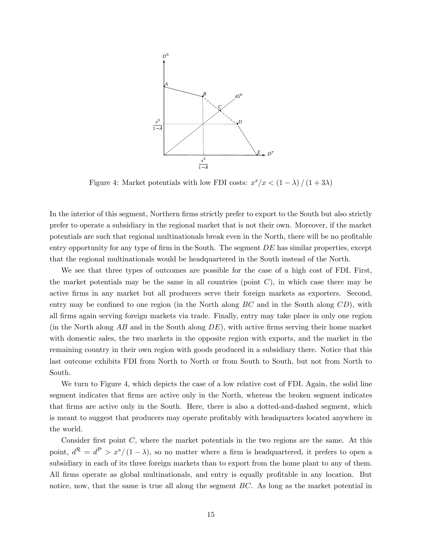

Figure 4: Market potentials with low FDI costs:  $x^s/x < (1 - \lambda) / (1 + 3\lambda)$ 

In the interior of this segment, Northern firms strictly prefer to export to the South but also strictly prefer to operate a subsidiary in the regional market that is not their own. Moreover, if the market potentials are such that regional multinationals break even in the North, there will be no profitable entry opportunity for any type of firm in the South. The segment  $DE$  has similar properties, except that the regional multinationals would be headquartered in the South instead of the North.

We see that three types of outcomes are possible for the case of a high cost of FDI. First, the market potentials may be the same in all countries (point  $C$ ), in which case there may be active firms in any market but all producers serve their foreign markets as exporters. Second, entry may be confined to one region (in the North along  $BC$  and in the South along  $CD$ ), with all Örms again serving foreign markets via trade. Finally, entry may take place in only one region (in the North along  $AB$  and in the South along  $DE$ ), with active firms serving their home market with domestic sales, the two markets in the opposite region with exports, and the market in the remaining country in their own region with goods produced in a subsidiary there. Notice that this last outcome exhibits FDI from North to North or from South to South, but not from North to South.

We turn to Figure 4, which depicts the case of a low relative cost of FDI. Again, the solid line segment indicates that firms are active only in the North, whereas the broken segment indicates that Örms are active only in the South. Here, there is also a dotted-and-dashed segment, which is meant to suggest that producers may operate profitably with headquarters located anywhere in the world.

Consider first point  $C$ , where the market potentials in the two regions are the same. At this point,  $d^R = d^P > x^s/(1-\lambda)$ , so no matter where a firm is headquartered, it prefers to open a subsidiary in each of its three foreign markets than to export from the home plant to any of them. All firms operate as global multinationals, and entry is equally profitable in any location. But notice, now, that the same is true all along the segment  $BC$ . As long as the market potential in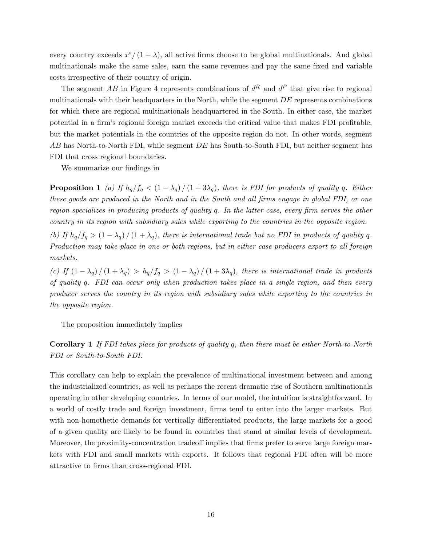every country exceeds  $x^{s}/(1-\lambda)$ , all active firms choose to be global multinationals. And global multinationals make the same sales, earn the same revenues and pay the same fixed and variable costs irrespective of their country of origin.

The segment AB in Figure 4 represents combinations of  $d^{R}$  and  $d^{P}$  that give rise to regional multinationals with their headquarters in the North, while the segment  $DE$  represents combinations for which there are regional multinationals headquartered in the South. In either case, the market potential in a firm's regional foreign market exceeds the critical value that makes FDI profitable, but the market potentials in the countries of the opposite region do not. In other words, segment AB has North-to-North FDI, while segment DE has South-to-South FDI, but neither segment has FDI that cross regional boundaries.

We summarize our findings in

**Proposition 1** (a) If  $h_q/f_q < (1 - \lambda_q)/(1 + 3\lambda_q)$ , there is FDI for products of quality q. Either these goods are produced in the North and in the South and all firms engage in global FDI, or one region specializes in producing products of quality q. In the latter case, every firm serves the other country in its region with subsidiary sales while exporting to the countries in the opposite region.

(b) If  $h_q/f_q > (1 - \lambda_q) / (1 + \lambda_q)$ , there is international trade but no FDI in products of quality q. Production may take place in one or both regions, but in either case producers export to all foreign markets.

(c) If  $(1 - \lambda_q)/(1 + \lambda_q) > h_q/f_q > (1 - \lambda_q)/(1 + 3\lambda_q)$ , there is international trade in products of quality q. FDI can occur only when production takes place in a single region, and then every producer serves the country in its region with subsidiary sales while exporting to the countries in the opposite region.

The proposition immediately implies

Corollary 1 If FDI takes place for products of quality q, then there must be either North-to-North FDI or South-to-South FDI.

This corollary can help to explain the prevalence of multinational investment between and among the industrialized countries, as well as perhaps the recent dramatic rise of Southern multinationals operating in other developing countries. In terms of our model, the intuition is straightforward. In a world of costly trade and foreign investment, Örms tend to enter into the larger markets. But with non-homothetic demands for vertically differentiated products, the large markets for a good of a given quality are likely to be found in countries that stand at similar levels of development. Moreover, the proximity-concentration tradeoff implies that firms prefer to serve large foreign markets with FDI and small markets with exports. It follows that regional FDI often will be more attractive to Örms than cross-regional FDI.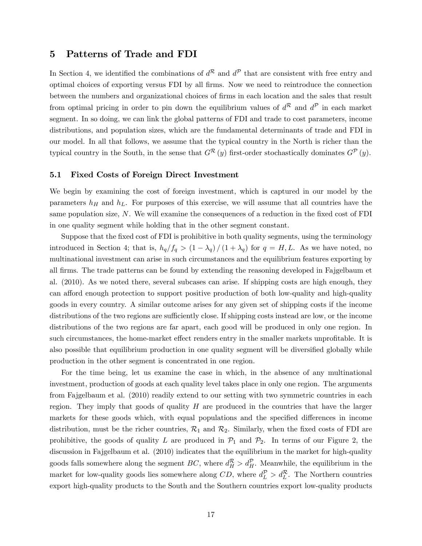### 5 Patterns of Trade and FDI

In Section 4, we identified the combinations of  $d^{\mathcal{R}}$  and  $d^{\mathcal{P}}$  that are consistent with free entry and optimal choices of exporting versus FDI by all Örms. Now we need to reintroduce the connection between the numbers and organizational choices of firms in each location and the sales that result from optimal pricing in order to pin down the equilibrium values of  $d^{R}$  and  $d^{P}$  in each market segment. In so doing, we can link the global patterns of FDI and trade to cost parameters, income distributions, and population sizes, which are the fundamental determinants of trade and FDI in our model. In all that follows, we assume that the typical country in the North is richer than the typical country in the South, in the sense that  $G^{\mathcal{R}}(y)$  first-order stochastically dominates  $G^{\mathcal{P}}(y)$ .

### 5.1 Fixed Costs of Foreign Direct Investment

We begin by examining the cost of foreign investment, which is captured in our model by the parameters  $h_H$  and  $h_L$ . For purposes of this exercise, we will assume that all countries have the same population size,  $N$ . We will examine the consequences of a reduction in the fixed cost of FDI in one quality segment while holding that in the other segment constant.

Suppose that the fixed cost of FDI is prohibitive in both quality segments, using the terminology introduced in Section 4; that is,  $h_q/f_q > (1 - \lambda_q)/(1 + \lambda_q)$  for  $q = H, L$ . As we have noted, no multinational investment can arise in such circumstances and the equilibrium features exporting by all Örms. The trade patterns can be found by extending the reasoning developed in Fajgelbaum et al. (2010). As we noted there, several subcases can arise. If shipping costs are high enough, they can afford enough protection to support positive production of both low-quality and high-quality goods in every country. A similar outcome arises for any given set of shipping costs if the income distributions of the two regions are sufficiently close. If shipping costs instead are low, or the income distributions of the two regions are far apart, each good will be produced in only one region. In such circumstances, the home-market effect renders entry in the smaller markets unprofitable. It is also possible that equilibrium production in one quality segment will be diversified globally while production in the other segment is concentrated in one region.

For the time being, let us examine the case in which, in the absence of any multinational investment, production of goods at each quality level takes place in only one region. The arguments from Fajgelbaum et al. (2010) readily extend to our setting with two symmetric countries in each region. They imply that goods of quality  $H$  are produced in the countries that have the larger markets for these goods which, with equal populations and the specified differences in income distribution, must be the richer countries,  $\mathcal{R}_1$  and  $\mathcal{R}_2$ . Similarly, when the fixed costs of FDI are prohibitive, the goods of quality L are produced in  $\mathcal{P}_1$  and  $\mathcal{P}_2$ . In terms of our Figure 2, the discussion in Fajgelbaum et al. (2010) indicates that the equilibrium in the market for high-quality goods falls somewhere along the segment  $BC$ , where  $d_H^R > d_H^P$ . Meanwhile, the equilibrium in the market for low-quality goods lies somewhere along  $CD$ , where  $d_L^P > d_L^R$ . The Northern countries export high-quality products to the South and the Southern countries export low-quality products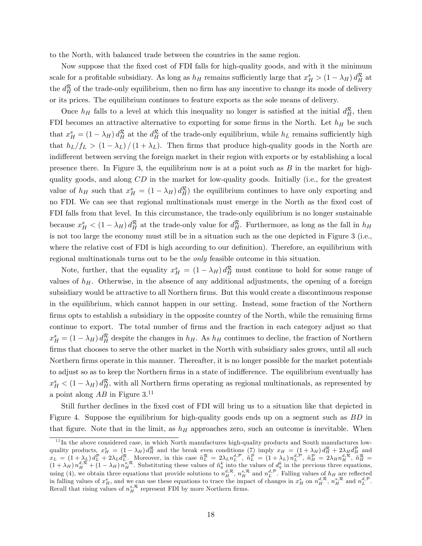to the North, with balanced trade between the countries in the same region.

Now suppose that the fixed cost of FDI falls for high-quality goods, and with it the minimum scale for a profitable subsidiary. As long as  $h_H$  remains sufficiently large that  $x_H^s > (1 - \lambda_H) d_H^R$  at the  $d_H^{\mathcal{R}}$  of the trade-only equilibrium, then no firm has any incentive to change its mode of delivery or its prices. The equilibrium continues to feature exports as the sole means of delivery.

Once  $h_H$  falls to a level at which this inequality no longer is satisfied at the initial  $d_H^R$ , then FDI becomes an attractive alternative to exporting for some firms in the North. Let  $h_H$  be such that  $x_H^s = (1 - \lambda_H) d_H^R$  at the  $d_H^R$  of the trade-only equilibrium, while  $h_L$  remains sufficiently high that  $h_L/f_L > (1 - \lambda_L)/(1 + \lambda_L)$ . Then firms that produce high-quality goods in the North are indifferent between serving the foreign market in their region with exports or by establishing a local presence there. In Figure 3, the equilibrium now is at a point such as  $B$  in the market for highquality goods, and along CD in the market for low-quality goods. Initially (i.e., for the greatest value of  $h_H$  such that  $x_H^s = (1 - \lambda_H) d_H^R$  the equilibrium continues to have only exporting and no FDI. We can see that regional multinationals must emerge in the North as the fixed cost of FDI falls from that level. In this circumstance, the trade-only equilibrium is no longer sustainable because  $x_H^s < (1 - \lambda_H) d_H^R$  at the trade-only value for  $d_H^R$ . Furthermore, as long as the fall in  $h_H$ is not too large the economy must still be in a situation such as the one depicted in Figure 3 (i.e., where the relative cost of FDI is high according to our definition). Therefore, an equilibrium with regional multinationals turns out to be the only feasible outcome in this situation.

Note, further, that the equality  $x_H^s = (1 - \lambda_H) d_H^R$  must continue to hold for some range of values of  $h<sub>H</sub>$ . Otherwise, in the absence of any additional adjustments, the opening of a foreign subsidiary would be attractive to all Northern firms. But this would create a discontinuous response in the equilibrium, which cannot happen in our setting. Instead, some fraction of the Northern firms opts to establish a subsidiary in the opposite country of the North, while the remaining firms continue to export. The total number of firms and the fraction in each category adjust so that  $x_H^s = (1 - \lambda_H) d_H^R$  despite the changes in  $h_H$ . As  $h_H$  continues to decline, the fraction of Northern firms that chooses to serve the other market in the North with subsidiary sales grows, until all such Northern firms operate in this manner. Thereafter, it is no longer possible for the market potentials to adjust so as to keep the Northern firms in a state of indifference. The equilibrium eventually has  $x_H^s < (1 - \lambda_H) d_H^{\mathcal{R}}$ , with all Northern firms operating as regional multinationals, as represented by a point along  $AB$  in Figure  $3^{11}$ 

Still further declines in the fixed cost of FDI will bring us to a situation like that depicted in Figure 4. Suppose the equilibrium for high-quality goods ends up on a segment such as BD in that figure. Note that in the limit, as  $h_H$  approaches zero, such an outcome is inevitable. When

 $11$ In the above considered case, in which North manufactures high-quality products and South manufactures lowquality products,  $x_H^s = (1 - \lambda_H) d_H^{\mathcal{R}}$  and the break even conditions (7) imply  $x_H = (1 + \lambda_H) d_H^{\mathcal{R}} + 2 \lambda_H d_H^{\mathcal{P}}$  and  $x_L = (1 + \lambda_L) d_L^{\mathcal{P}} + 2\lambda_L d_L^{\mathcal{R}}$ . Moreover, in this case  $\tilde{n}_L^{\mathcal{R}} = 2\lambda_L n_L^{d,\mathcal{P}}, \ \tilde{n}_L^{\mathcal{P}} = (1 + \lambda_L) n_L^{d,\mathcal{P}}, \ \tilde{n}_H^{\mathcal{P}} = 2\lambda_H n_H^{d,\mathcal{R}}, \ \tilde{n}_H^{\mathcal{R}} =$  $(1 + \lambda_H) n_H^{d,\mathcal{R}} + (1 - \lambda_H) n_H^{s,\mathcal{R}}$ . Substituting these values of  $\tilde{n}_q^k$  into the values of  $d_q^k$  in the previous three equations, using (4), we obtain three equations that provide solutions to  $n_H^{d,\mathcal{R}}, n_H^{s,\mathcal{R}}$  and  $n_L^{d,\mathcal{P}}$ . Falling values of  $h_H$  are reflected in falling values of  $x_H^s$ , and we can use these equations to trace the impact of changes in  $x_H^s$  on  $n_H^{d,\mathcal{R}}, n_H^{s,\mathcal{R}}$  and  $n_L^{d,\mathcal{P}}$ . Recall that rising values of  $n_H^{s,\mathcal{R}}$  represent FDI by more Northern firms.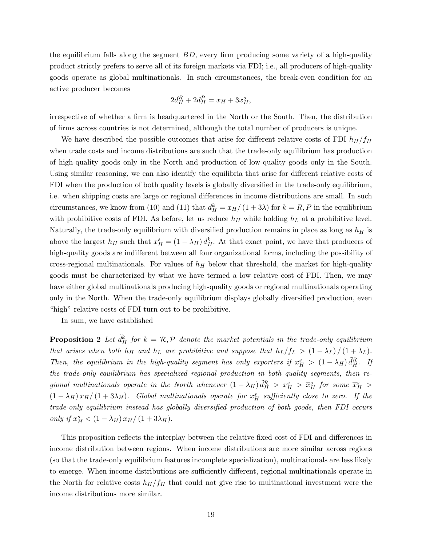the equilibrium falls along the segment  $BD$ , every firm producing some variety of a high-quality product strictly prefers to serve all of its foreign markets via FDI; i.e., all producers of high-quality goods operate as global multinationals. In such circumstances, the break-even condition for an active producer becomes

$$
2d_H^{\mathcal{R}} + 2d_H^{\mathcal{P}} = x_H + 3x_H^s,
$$

irrespective of whether a firm is headquartered in the North or the South. Then, the distribution of Örms across countries is not determined, although the total number of producers is unique.

We have described the possible outcomes that arise for different relative costs of FDI  $h_H/f_H$ when trade costs and income distributions are such that the trade-only equilibrium has production of high-quality goods only in the North and production of low-quality goods only in the South. Using similar reasoning, we can also identify the equilibria that arise for different relative costs of FDI when the production of both quality levels is globally diversified in the trade-only equilibrium, i.e. when shipping costs are large or regional differences in income distributions are small. In such circumstances, we know from (10) and (11) that  $d_H^k = x_H/(1 + 3\lambda)$  for  $k = R, P$  in the equilibrium with prohibitive costs of FDI. As before, let us reduce  $h<sub>H</sub>$  while holding  $h<sub>L</sub>$  at a prohibitive level. Naturally, the trade-only equilibrium with diversified production remains in place as long as  $h<sub>H</sub>$  is above the largest  $h_H$  such that  $x_H^s = (1 - \lambda_H) d_H^k$ . At that exact point, we have that producers of high-quality goods are indifferent between all four organizational forms, including the possibility of cross-regional multinationals. For values of  $h_H$  below that threshold, the market for high-quality goods must be characterized by what we have termed a low relative cost of FDI. Then, we may have either global multinationals producing high-quality goods or regional multinationals operating only in the North. When the trade-only equilibrium displays globally diversified production, even "high" relative costs of FDI turn out to be prohibitive.

In sum, we have established

**Proposition 2** Let  $\tilde{d}_H^k$  for  $k = \mathcal{R}, \mathcal{P}$  denote the market potentials in the trade-only equilibrium that arises when both  $h_H$  and  $h_L$  are prohibitive and suppose that  $h_L/f_L > (1 - \lambda_L) / (1 + \lambda_L)$ . Then, the equilibrium in the high-quality segment has only exporters if  $x_H^s > (1 - \lambda_H) \tilde{d}_H^R$ . If the trade-only equilibrium has specialized regional production in both quality segments, then regional multinationals operate in the North whenever  $(1-\lambda_H)\tilde{d}_H^R > x_H^s > \overline{x}_H^s$  for some  $\overline{x}_H^s >$  $(1 - \lambda_H) x_H/(1 + 3\lambda_H)$ . Global multinationals operate for  $x_H^s$  sufficiently close to zero. If the trade-only equilibrium instead has globally diversified production of both goods, then FDI occurs only if  $x_H^s < (1 - \lambda_H) x_H/(1 + 3\lambda_H)$ .

This proposition reflects the interplay between the relative fixed cost of FDI and differences in income distribution between regions. When income distributions are more similar across regions (so that the trade-only equilibrium features incomplete specialization), multinationals are less likely to emerge. When income distributions are sufficiently different, regional multinationals operate in the North for relative costs  $h_H/f_H$  that could not give rise to multinational investment were the income distributions more similar.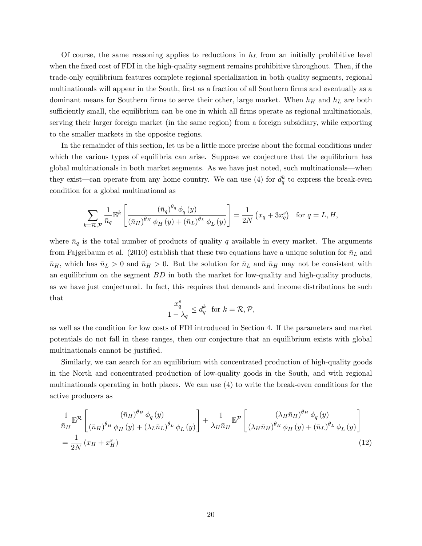Of course, the same reasoning applies to reductions in  $h<sub>L</sub>$  from an initially prohibitive level when the fixed cost of FDI in the high-quality segment remains prohibitive throughout. Then, if the trade-only equilibrium features complete regional specialization in both quality segments, regional multinationals will appear in the South, first as a fraction of all Southern firms and eventually as a dominant means for Southern firms to serve their other, large market. When  $h_H$  and  $h_L$  are both sufficiently small, the equilibrium can be one in which all firms operate as regional multinationals, serving their larger foreign market (in the same region) from a foreign subsidiary, while exporting to the smaller markets in the opposite regions.

In the remainder of this section, let us be a little more precise about the formal conditions under which the various types of equilibria can arise. Suppose we conjecture that the equilibrium has global multinationals in both market segments. As we have just noted, such multinationals—when they exist—can operate from any home country. We can use (4) for  $d_q^k$  to express the break-even condition for a global multinational as

$$
\sum_{k=\mathcal{R},\mathcal{P}} \frac{1}{\bar{n}_q} \mathbb{E}^k \left[ \frac{(\bar{n}_q)^{\theta_q} \phi_q(y)}{(\bar{n}_H)^{\theta_H} \phi_H(y) + (\bar{n}_L)^{\theta_L} \phi_L(y)} \right] = \frac{1}{2N} \left( x_q + 3x_q^s \right) \text{ for } q = L, H,
$$

where  $\bar{n}_q$  is the total number of products of quality q available in every market. The arguments from Fajgelbaum et al. (2010) establish that these two equations have a unique solution for  $\bar{n}_L$  and  $\bar{n}_H$ , which has  $\bar{n}_L > 0$  and  $\bar{n}_H > 0$ . But the solution for  $\bar{n}_L$  and  $\bar{n}_H$  may not be consistent with an equilibrium on the segment  $BD$  in both the market for low-quality and high-quality products, as we have just conjectured. In fact, this requires that demands and income distributions be such that

$$
\frac{x_q^s}{1-\lambda_q} \le d_q^k \text{ for } k = \mathcal{R}, \mathcal{P},
$$

as well as the condition for low costs of FDI introduced in Section 4. If the parameters and market potentials do not fall in these ranges, then our conjecture that an equilibrium exists with global multinationals cannot be justified.

Similarly, we can search for an equilibrium with concentrated production of high-quality goods in the North and concentrated production of low-quality goods in the South, and with regional multinationals operating in both places. We can use (4) to write the break-even conditions for the active producers as

$$
\frac{1}{\bar{n}_H} \mathbb{E}^{\mathcal{R}} \left[ \frac{(\bar{n}_H)^{\theta_H} \phi_q(y)}{(\bar{n}_H)^{\theta_H} \phi_H(y) + (\lambda_L \bar{n}_L)^{\theta_L} \phi_L(y)} \right] + \frac{1}{\lambda_H \bar{n}_H} \mathbb{E}^{\mathcal{P}} \left[ \frac{(\lambda_H \bar{n}_H)^{\theta_H} \phi_q(y)}{(\lambda_H \bar{n}_H)^{\theta_H} \phi_H(y) + (\bar{n}_L)^{\theta_L} \phi_L(y)} \right]
$$
\n
$$
= \frac{1}{2N} (x_H + x_H^s) \tag{12}
$$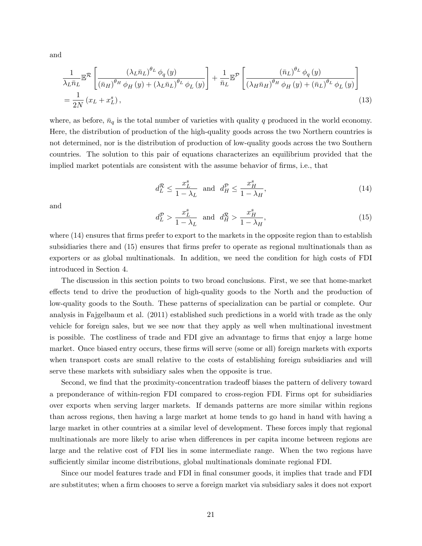and

$$
\frac{1}{\lambda_L \bar{n}_L} \mathbb{E}^{\mathcal{R}} \left[ \frac{\left(\lambda_L \bar{n}_L\right)^{\theta_L} \phi_q\left(y\right)}{\left(\bar{n}_H\right)^{\theta_H} \phi_H\left(y\right) + \left(\lambda_L \bar{n}_L\right)^{\theta_L} \phi_L\left(y\right)} \right] + \frac{1}{\bar{n}_L} \mathbb{E}^{\mathcal{P}} \left[ \frac{\left(\bar{n}_L\right)^{\theta_L} \phi_q\left(y\right)}{\left(\lambda_H \bar{n}_H\right)^{\theta_H} \phi_H\left(y\right) + \left(\bar{n}_L\right)^{\theta_L} \phi_L\left(y\right)} \right] \n= \frac{1}{2N} \left( x_L + x_L^s \right),
$$
\n(13)

where, as before,  $\bar{n}_q$  is the total number of varieties with quality q produced in the world economy. Here, the distribution of production of the high-quality goods across the two Northern countries is not determined, nor is the distribution of production of low-quality goods across the two Southern countries. The solution to this pair of equations characterizes an equilibrium provided that the implied market potentials are consistent with the assume behavior of firms, i.e., that

$$
d_L^{\mathcal{R}} \le \frac{x_L^s}{1 - \lambda_L} \quad \text{and} \quad d_H^{\mathcal{P}} \le \frac{x_H^s}{1 - \lambda_H},\tag{14}
$$

and

$$
d_L^P > \frac{x_L^s}{1 - \lambda_L} \quad \text{and} \quad d_H^R > \frac{x_H^s}{1 - \lambda_H},\tag{15}
$$

where  $(14)$  ensures that firms prefer to export to the markets in the opposite region than to establish subsidiaries there and (15) ensures that firms prefer to operate as regional multinationals than as exporters or as global multinationals. In addition, we need the condition for high costs of FDI introduced in Section 4.

The discussion in this section points to two broad conclusions. First, we see that home-market effects tend to drive the production of high-quality goods to the North and the production of low-quality goods to the South. These patterns of specialization can be partial or complete. Our analysis in Fajgelbaum et al. (2011) established such predictions in a world with trade as the only vehicle for foreign sales, but we see now that they apply as well when multinational investment is possible. The costliness of trade and FDI give an advantage to firms that enjoy a large home market. Once biased entry occurs, these firms will serve (some or all) foreign markets with exports when transport costs are small relative to the costs of establishing foreign subsidiaries and will serve these markets with subsidiary sales when the opposite is true.

Second, we find that the proximity-concentration tradeoff biases the pattern of delivery toward a preponderance of within-region FDI compared to cross-region FDI. Firms opt for subsidiaries over exports when serving larger markets. If demands patterns are more similar within regions than across regions, then having a large market at home tends to go hand in hand with having a large market in other countries at a similar level of development. These forces imply that regional multinationals are more likely to arise when differences in per capita income between regions are large and the relative cost of FDI lies in some intermediate range. When the two regions have sufficiently similar income distributions, global multinationals dominate regional FDI.

Since our model features trade and FDI in final consumer goods, it implies that trade and FDI are substitutes; when a firm chooses to serve a foreign market via subsidiary sales it does not export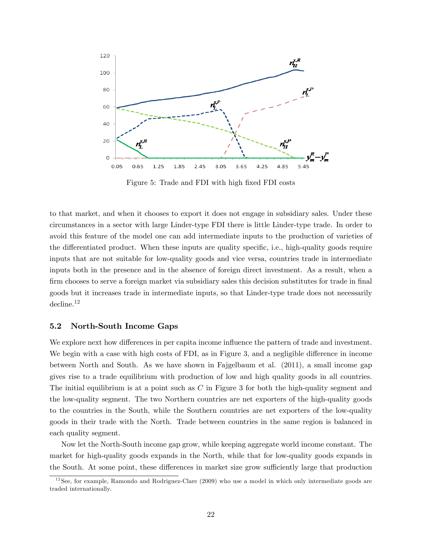

Figure 5: Trade and FDI with high fixed FDI costs

to that market, and when it chooses to export it does not engage in subsidiary sales. Under these circumstances in a sector with large Linder-type FDI there is little Linder-type trade. In order to avoid this feature of the model one can add intermediate inputs to the production of varieties of the differentiated product. When these inputs are quality specific, i.e., high-quality goods require inputs that are not suitable for low-quality goods and vice versa, countries trade in intermediate inputs both in the presence and in the absence of foreign direct investment. As a result, when a firm chooses to serve a foreign market via subsidiary sales this decision substitutes for trade in final goods but it increases trade in intermediate inputs, so that Linder-type trade does not necessarily decline.<sup>12</sup>

### 5.2 North-South Income Gaps

We explore next how differences in per capita income influence the pattern of trade and investment. We begin with a case with high costs of FDI, as in Figure 3, and a negligible difference in income between North and South. As we have shown in Fajgelbaum et al. (2011), a small income gap gives rise to a trade equilibrium with production of low and high quality goods in all countries. The initial equilibrium is at a point such as C in Figure 3 for both the high-quality segment and the low-quality segment. The two Northern countries are net exporters of the high-quality goods to the countries in the South, while the Southern countries are net exporters of the low-quality goods in their trade with the North. Trade between countries in the same region is balanced in each quality segment.

Now let the North-South income gap grow, while keeping aggregate world income constant. The market for high-quality goods expands in the North, while that for low-quality goods expands in the South. At some point, these differences in market size grow sufficiently large that production

 $12$ See, for example, Ramondo and Rodriguez-Clare (2009) who use a model in which only intermediate goods are traded internationally.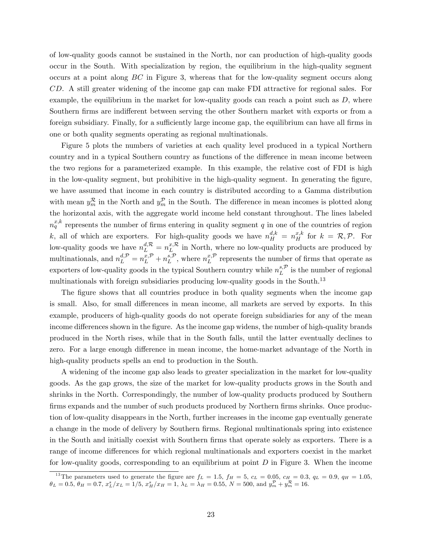of low-quality goods cannot be sustained in the North, nor can production of high-quality goods occur in the South. With specialization by region, the equilibrium in the high-quality segment occurs at a point along BC in Figure 3, whereas that for the low-quality segment occurs along CD. A still greater widening of the income gap can make FDI attractive for regional sales. For example, the equilibrium in the market for low-quality goods can reach a point such as  $D$ , where Southern firms are indifferent between serving the other Southern market with exports or from a foreign subsidiary. Finally, for a sufficiently large income gap, the equilibrium can have all firms in one or both quality segments operating as regional multinationals.

Figure 5 plots the numbers of varieties at each quality level produced in a typical Northern country and in a typical Southern country as functions of the difference in mean income between the two regions for a parameterized example. In this example, the relative cost of FDI is high in the low-quality segment, but prohibitive in the high-quality segment. In generating the figure, we have assumed that income in each country is distributed according to a Gamma distribution with mean  $y_m^{\mathcal{R}}$  in the North and  $y_m^{\mathcal{P}}$  in the South. The difference in mean incomes is plotted along the horizontal axis, with the aggregate world income held constant throughout. The lines labeled  $n_q^{x,k}$  represents the number of firms entering in quality segment q in one of the countries of region k, all of which are exporters. For high-quality goods we have  $n_H^{d,k} = n_H^{x,k}$  for  $k = \mathcal{R}, \mathcal{P}$ . For low-quality goods we have  $n_L^{d,R} = n_L^{x,R}$  in North, where no low-quality products are produced by multinationals, and  $n_L^{d,\mathcal{P}} = n_L^{x,\mathcal{P}} + n_L^{s,\mathcal{P}}$ , where  $n_L^{x,\mathcal{P}}$  represents the number of firms that operate as exporters of low-quality goods in the typical Southern country while  $n_L^{s,\mathcal{P}}$  is the number of regional multinationals with foreign subsidiaries producing low-quality goods in the South.<sup>13</sup>

The figure shows that all countries produce in both quality segments when the income gap is small. Also, for small differences in mean income, all markets are served by exports. In this example, producers of high-quality goods do not operate foreign subsidiaries for any of the mean income differences shown in the figure. As the income gap widens, the number of high-quality brands produced in the North rises, while that in the South falls, until the latter eventually declines to zero. For a large enough difference in mean income, the home-market advantage of the North in high-quality products spells an end to production in the South.

A widening of the income gap also leads to greater specialization in the market for low-quality goods. As the gap grows, the size of the market for low-quality products grows in the South and shrinks in the North. Correspondingly, the number of low-quality products produced by Southern firms expands and the number of such products produced by Northern firms shrinks. Once production of low-quality disappears in the North, further increases in the income gap eventually generate a change in the mode of delivery by Southern firms. Regional multinationals spring into existence in the South and initially coexist with Southern firms that operate solely as exporters. There is a range of income differences for which regional multinationals and exporters coexist in the market for low-quality goods, corresponding to an equilibrium at point  $D$  in Figure 3. When the income

<sup>&</sup>lt;sup>13</sup>The parameters used to generate the figure are  $f_L = 1.5$ ,  $f_H = 5$ ,  $c_L = 0.05$ ,  $c_H = 0.3$ ,  $q_L = 0.9$ ,  $q_H = 1.05$ ,  $\theta_L = 0.5, \, \theta_H = 0.7, \, x_L^s / x_L = 1/5, \, x_H^s / x_H = 1, \, \lambda_L = \lambda_H = 0.55, \, N = 500, \, \text{and} \, y_m^{\mathcal{P}} + y_m^{\mathcal{R}} = 16.$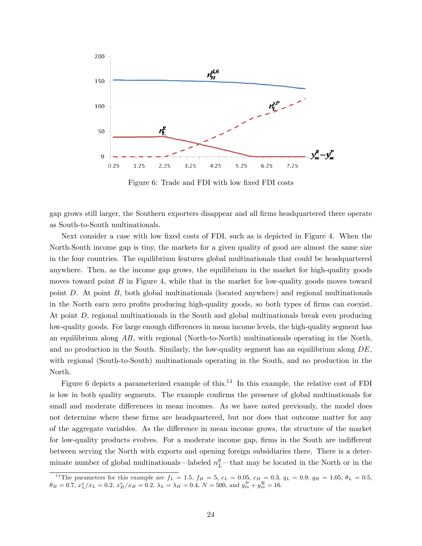

Figure 6: Trade and FDI with low fixed FDI costs

gap grows still larger, the Southern exporters disappear and all firms headquartered there operate as South-to-South multinationals.

Next consider a case with low fixed costs of FDI, such as is depicted in Figure 4. When the North-South income gap is tiny, the markets for a given quality of good are almost the same size in the four countries. The equilibrium features global multinationals that could be headquartered anywhere. Then, as the income gap grows, the equilibrium in the market for high-quality goods moves toward point  $B$  in Figure 4, while that in the market for low-quality goods moves toward point D. At point B, both global multinationals (located anywhere) and regional multinationals in the North earn zero profits producing high-quality goods, so both types of firms can coexist. At point D, regional multinationals in the South and global multinationals break even producing low-quality goods. For large enough differences in mean income levels, the high-quality segment has an equilibrium along AB, with regional (North-to-North) multinationals operating in the North, and no production in the South. Similarly, the low-quality segment has an equilibrium along  $DE$ , with regional (South-to-South) multinationals operating in the South, and no production in the North.

Figure 6 depicts a parameterized example of this.<sup>14</sup> In this example, the relative cost of FDI is low in both quality segments. The example confirms the presence of global multinationals for small and moderate differences in mean incomes. As we have noted previously, the model does not determine where these firms are headquartered, but nor does that outcome matter for any of the aggregate variables. As the difference in mean income grows, the structure of the market for low-quality products evolves. For a moderate income gap, firms in the South are indifferent between serving the North with exports and opening foreign subsidiaries there. There is a determinate number of global multinationals—labeled  $n_L^g$ —that may be located in the North or in the

<sup>&</sup>lt;sup>14</sup>The parameters for this example are  $f_L = 1.5$ ,  $f_H = 5$ ,  $c_L = 0.05$ ,  $c_H = 0.3$ ,  $q_L = 0.9$ ,  $q_H = 1.05$ ,  $\theta_L = 0.5$ ,  $\theta_H = 0.7, x_L^s/x_L = 0.2, x_H^s/x_H = 0.2, \lambda_L = \lambda_H = 0.4, N = 500, \text{ and } y_m^{\mathcal{P}} + y_m^{\mathcal{R}} = 16.$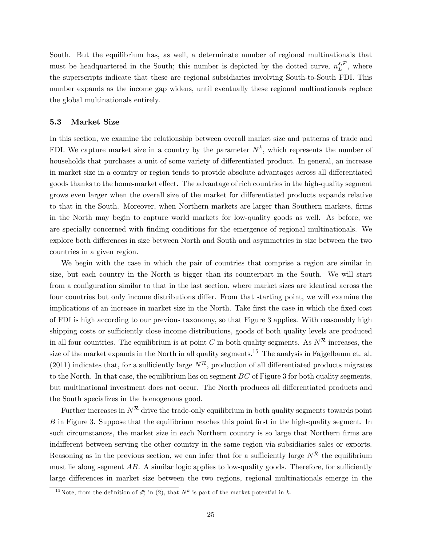South. But the equilibrium has, as well, a determinate number of regional multinationals that must be headquartered in the South; this number is depicted by the dotted curve,  $n_L^{s,\mathcal{P}}$ , where the superscripts indicate that these are regional subsidiaries involving South-to-South FDI. This number expands as the income gap widens, until eventually these regional multinationals replace the global multinationals entirely.

#### 5.3 Market Size

In this section, we examine the relationship between overall market size and patterns of trade and FDI. We capture market size in a country by the parameter  $N^k$ , which represents the number of households that purchases a unit of some variety of differentiated product. In general, an increase in market size in a country or region tends to provide absolute advantages across all differentiated goods thanks to the home-market effect. The advantage of rich countries in the high-quality segment grows even larger when the overall size of the market for differentiated products expands relative to that in the South. Moreover, when Northern markets are larger than Southern markets, firms in the North may begin to capture world markets for low-quality goods as well. As before, we are specially concerned with Önding conditions for the emergence of regional multinationals. We explore both differences in size between North and South and asymmetries in size between the two countries in a given region.

We begin with the case in which the pair of countries that comprise a region are similar in size, but each country in the North is bigger than its counterpart in the South. We will start from a configuration similar to that in the last section, where market sizes are identical across the four countries but only income distributions differ. From that starting point, we will examine the implications of an increase in market size in the North. Take first the case in which the fixed cost of FDI is high according to our previous taxonomy, so that Figure 3 applies. With reasonably high shipping costs or sufficiently close income distributions, goods of both quality levels are produced in all four countries. The equilibrium is at point C in both quality segments. As  $N^R$  increases, the size of the market expands in the North in all quality segments.<sup>15</sup> The analysis in Fajgelbaum et. al. (2011) indicates that, for a sufficiently large  $N^R$ , production of all differentiated products migrates to the North. In that case, the equilibrium lies on segment  $BC$  of Figure 3 for both quality segments, but multinational investment does not occur. The North produces all differentiated products and the South specializes in the homogenous good.

Further increases in  $N^R$  drive the trade-only equilibrium in both quality segments towards point  $B$  in Figure 3. Suppose that the equilibrium reaches this point first in the high-quality segment. In such circumstances, the market size in each Northern country is so large that Northern firms are indifferent between serving the other country in the same region via subsidiaries sales or exports. Reasoning as in the previous section, we can infer that for a sufficiently large  $N^R$  the equilibrium must lie along segment  $AB$ . A similar logic applies to low-quality goods. Therefore, for sufficiently large differences in market size between the two regions, regional multinationals emerge in the

<sup>&</sup>lt;sup>15</sup>Note, from the definition of  $d_j^k$  in (2), that  $N^k$  is part of the market potential in k.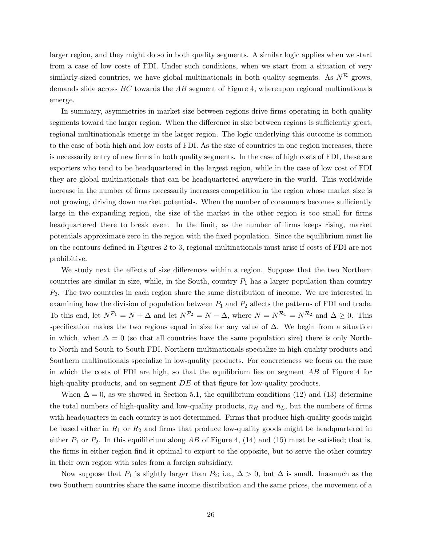larger region, and they might do so in both quality segments. A similar logic applies when we start from a case of low costs of FDI. Under such conditions, when we start from a situation of very similarly-sized countries, we have global multinationals in both quality segments. As  $N^R$  grows, demands slide across  $BC$  towards the  $AB$  segment of Figure 4, whereupon regional multinationals emerge.

In summary, asymmetries in market size between regions drive firms operating in both quality segments toward the larger region. When the difference in size between regions is sufficiently great, regional multinationals emerge in the larger region. The logic underlying this outcome is common to the case of both high and low costs of FDI. As the size of countries in one region increases, there is necessarily entry of new firms in both quality segments. In the case of high costs of FDI, these are exporters who tend to be headquartered in the largest region, while in the case of low cost of FDI they are global multinationals that can be headquartered anywhere in the world. This worldwide increase in the number of firms necessarily increases competition in the region whose market size is not growing, driving down market potentials. When the number of consumers becomes sufficiently large in the expanding region, the size of the market in the other region is too small for firms headquartered there to break even. In the limit, as the number of firms keeps rising, market potentials approximate zero in the region with the fixed population. Since the equilibrium must lie on the contours deÖned in Figures 2 to 3, regional multinationals must arise if costs of FDI are not prohibitive.

We study next the effects of size differences within a region. Suppose that the two Northern countries are similar in size, while, in the South, country  $P_1$  has a larger population than country  $P_2$ . The two countries in each region share the same distribution of income. We are interested in examining how the division of population between  $P_1$  and  $P_2$  affects the patterns of FDI and trade. To this end, let  $N^{\mathcal{P}_1} = N + \Delta$  and let  $N^{\mathcal{P}_2} = N - \Delta$ , where  $N = N^{\mathcal{R}_1} = N^{\mathcal{R}_2}$  and  $\Delta \geq 0$ . This specification makes the two regions equal in size for any value of  $\Delta$ . We begin from a situation in which, when  $\Delta = 0$  (so that all countries have the same population size) there is only Northto-North and South-to-South FDI. Northern multinationals specialize in high-quality products and Southern multinationals specialize in low-quality products. For concreteness we focus on the case in which the costs of FDI are high, so that the equilibrium lies on segment  $AB$  of Figure 4 for high-quality products, and on segment  $DE$  of that figure for low-quality products.

When  $\Delta = 0$ , as we showed in Section 5.1, the equilibrium conditions (12) and (13) determine the total numbers of high-quality and low-quality products,  $\bar{n}_H$  and  $\bar{n}_L$ , but the numbers of firms with headquarters in each country is not determined. Firms that produce high-quality goods might be based either in  $R_1$  or  $R_2$  and firms that produce low-quality goods might be headquartered in either  $P_1$  or  $P_2$ . In this equilibrium along AB of Figure 4, (14) and (15) must be satisfied; that is, the firms in either region find it optimal to export to the opposite, but to serve the other country in their own region with sales from a foreign subsidiary.

Now suppose that  $P_1$  is slightly larger than  $P_2$ ; i.e.,  $\Delta > 0$ , but  $\Delta$  is small. Inasmuch as the two Southern countries share the same income distribution and the same prices, the movement of a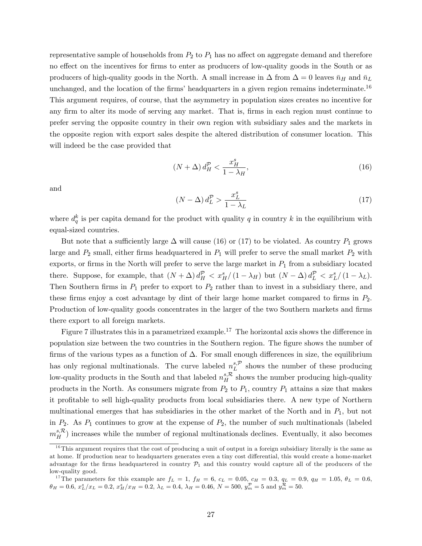representative sample of households from  $P_2$  to  $P_1$  has no affect on aggregate demand and therefore no effect on the incentives for firms to enter as producers of low-quality goods in the South or as producers of high-quality goods in the North. A small increase in  $\Delta$  from  $\Delta = 0$  leaves  $\bar{n}_H$  and  $\bar{n}_L$ unchanged, and the location of the firms' headquarters in a given region remains indeterminate.<sup>16</sup> This argument requires, of course, that the asymmetry in population sizes creates no incentive for any firm to alter its mode of serving any market. That is, firms in each region must continue to prefer serving the opposite country in their own region with subsidiary sales and the markets in the opposite region with export sales despite the altered distribution of consumer location. This will indeed be the case provided that

$$
(N+\Delta) d_H^{\mathcal{P}} < \frac{x_H^s}{1-\lambda_H},\tag{16}
$$

and

$$
(N - \Delta) d_L^P > \frac{x_L^s}{1 - \lambda_L} \tag{17}
$$

where  $d_q^k$  is per capita demand for the product with quality q in country k in the equilibrium with equal-sized countries.

But note that a sufficiently large  $\Delta$  will cause (16) or (17) to be violated. As country  $P_1$  grows large and  $P_2$  small, either firms headquartered in  $P_1$  will prefer to serve the small market  $P_2$  with exports, or firms in the North will prefer to serve the large market in  $P_1$  from a subsidiary located there. Suppose, for example, that  $(N + \Delta) d_H^{\mathcal{P}} < x_H^s/(1 - \lambda_H)$  but  $(N - \Delta) d_L^{\mathcal{P}} < x_L^s/(1 - \lambda_L)$ . Then Southern firms in  $P_1$  prefer to export to  $P_2$  rather than to invest in a subsidiary there, and these firms enjoy a cost advantage by dint of their large home market compared to firms in  $P_2$ . Production of low-quality goods concentrates in the larger of the two Southern markets and firms there export to all foreign markets.

Figure 7 illustrates this in a parametrized example.<sup>17</sup> The horizontal axis shows the difference in population size between the two countries in the Southern region. The figure shows the number of firms of the various types as a function of  $\Delta$ . For small enough differences in size, the equilibrium has only regional multinationals. The curve labeled  $n_L^{s,p}$  shows the number of these producing low-quality products in the South and that labeled  $n_H^{s,\mathcal{R}}$  shows the number producing high-quality products in the North. As consumers migrate from  $P_2$  to  $P_1$ , country  $P_1$  attains a size that makes it proÖtable to sell high-quality products from local subsidiaries there. A new type of Northern multinational emerges that has subsidiaries in the other market of the North and in  $P_1$ , but not in  $P_2$ . As  $P_1$  continues to grow at the expense of  $P_2$ , the number of such multinationals (labeled  $m_H^{s,\mathcal{R}}$ ) increases while the number of regional multinationals declines. Eventually, it also becomes

 $16$ This argument requires that the cost of producing a unit of output in a foreign subsidiary literally is the same as at home. If production near to headquarters generates even a tiny cost differential, this would create a home-market advantage for the firms headquartered in country  $\mathcal{P}_1$  and this country would capture all of the producers of the low-quality good.

<sup>&</sup>lt;sup>17</sup>The parameters for this example are  $f_L = 1$ ,  $f_H = 6$ ,  $c_L = 0.05$ ,  $c_H = 0.3$ ,  $q_L = 0.9$ ,  $q_H = 1.05$ ,  $\theta_L = 0.6$ ,  $\theta_H = 0.6, x_L^s/x_L = 0.2, x_H^s/x_H = 0.2, \lambda_L = 0.4, \lambda_H = 0.46, N = 500, y_m^p = 5 \text{ and } y_m^{\mathcal{R}} = 50.$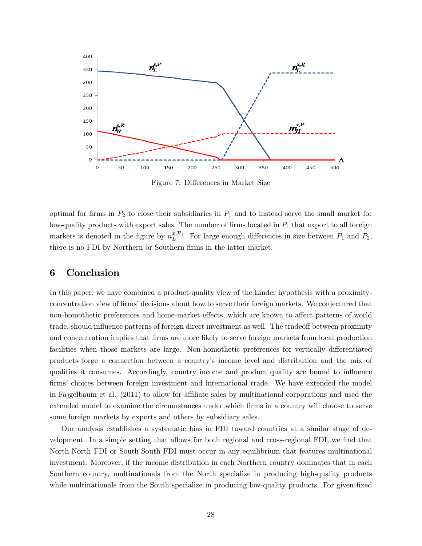

Figure 7: Differences in Market Size

optimal for firms in  $P_2$  to close their subsidiaries in  $P_1$  and to instead serve the small market for low-quality products with export sales. The number of firms located in  $P_1$  that export to all foreign markets is denoted in the figure by  $n_L^{x,p_1}$ . For large enough differences in size between  $P_1$  and  $P_2$ , there is no FDI by Northern or Southern firms in the latter market.

# 6 Conclusion

In this paper, we have combined a product-quality view of the Linder hypothesis with a proximityconcentration view of firms' decisions about how to serve their foreign markets. We conjectured that non-homothetic preferences and home-market effects, which are known to affect patterns of world trade, should influence patterns of foreign direct investment as well. The tradeoff between proximity and concentration implies that firms are more likely to serve foreign markets from local production facilities when those markets are large. Non-homothetic preferences for vertically differentiated products forge a connection between a countryís income level and distribution and the mix of qualities it consumes. Accordingly, country income and product quality are bound to ináuence firms' choices between foreign investment and international trade. We have extended the model in Fajgelbaum et al.  $(2011)$  to allow for affiliate sales by multinational corporations and used the extended model to examine the circumstances under which firms in a country will choose to serve some foreign markets by exports and others by subsidiary sales.

Our analysis establishes a systematic bias in FDI toward countries at a similar stage of development. In a simple setting that allows for both regional and cross-regional FDI, we find that North-North FDI or South-South FDI must occur in any equilibrium that features multinational investment. Moreover, if the income distribution in each Northern country dominates that in each Southern country, multinationals from the North specialize in producing high-quality products while multinationals from the South specialize in producing low-quality products. For given fixed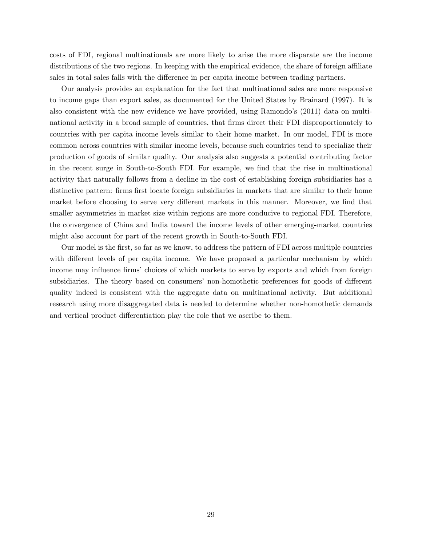costs of FDI, regional multinationals are more likely to arise the more disparate are the income distributions of the two regions. In keeping with the empirical evidence, the share of foreign affiliate sales in total sales falls with the difference in per capita income between trading partners.

Our analysis provides an explanation for the fact that multinational sales are more responsive to income gaps than export sales, as documented for the United States by Brainard (1997). It is also consistent with the new evidence we have provided, using Ramondo's  $(2011)$  data on multinational activity in a broad sample of countries, that firms direct their FDI disproportionately to countries with per capita income levels similar to their home market. In our model, FDI is more common across countries with similar income levels, because such countries tend to specialize their production of goods of similar quality. Our analysis also suggests a potential contributing factor in the recent surge in South-to-South FDI. For example, we find that the rise in multinational activity that naturally follows from a decline in the cost of establishing foreign subsidiaries has a distinctive pattern: firms first locate foreign subsidiaries in markets that are similar to their home market before choosing to serve very different markets in this manner. Moreover, we find that smaller asymmetries in market size within regions are more conducive to regional FDI. Therefore, the convergence of China and India toward the income levels of other emerging-market countries might also account for part of the recent growth in South-to-South FDI.

Our model is the first, so far as we know, to address the pattern of FDI across multiple countries with different levels of per capita income. We have proposed a particular mechanism by which income may influence firms' choices of which markets to serve by exports and which from foreign subsidiaries. The theory based on consumers' non-homothetic preferences for goods of different quality indeed is consistent with the aggregate data on multinational activity. But additional research using more disaggregated data is needed to determine whether non-homothetic demands and vertical product differentiation play the role that we ascribe to them.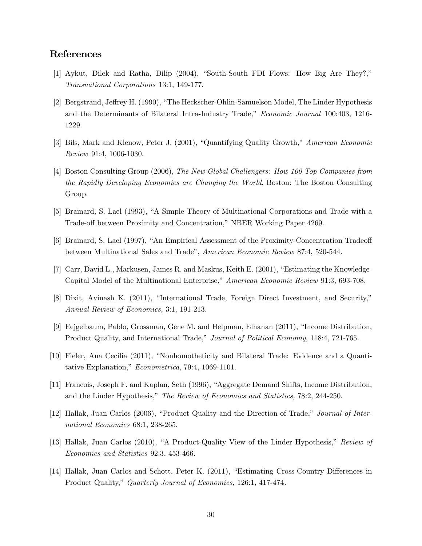# References

- [1] Aykut, Dilek and Ratha, Dilip  $(2004)$ , "South-South FDI Flows: How Big Are They?," Transnational Corporations 13:1, 149-177.
- [2] Bergstrand, Jeffrey H. (1990), "The Heckscher-Ohlin-Samuelson Model, The Linder Hypothesis and the Determinants of Bilateral Intra-Industry Trade," *Economic Journal* 100:403, 1216-1229.
- [3] Bils, Mark and Klenow, Peter J. (2001), "Quantifying Quality Growth," American Economic Review 91:4, 1006-1030.
- [4] Boston Consulting Group (2006), The New Global Challengers: How 100 Top Companies from the Rapidly Developing Economies are Changing the World, Boston: The Boston Consulting Group.
- [5] Brainard, S. Lael (1993), "A Simple Theory of Multinational Corporations and Trade with a Trade-off between Proximity and Concentration," NBER Working Paper 4269.
- [6] Brainard, S. Lael (1997), "An Empirical Assessment of the Proximity-Concentration Tradeoff between Multinational Sales and Tradeî, American Economic Review 87:4, 520-544.
- [7] Carr, David L., Markusen, James R. and Maskus, Keith E. (2001), "Estimating the Knowledge-Capital Model of the Multinational Enterprise," American Economic Review 91:3, 693-708.
- [8] Dixit, Avinash K. (2011), "International Trade, Foreign Direct Investment, and Security," Annual Review of Economics, 3:1, 191-213.
- [9] Fajgelbaum, Pablo, Grossman, Gene M. and Helpman, Elhanan (2011), "Income Distribution. Product Quality, and International Trade," Journal of Political Economy, 118:4, 721-765.
- [10] Fieler, Ana Cecilia (2011), "Nonhomotheticity and Bilateral Trade: Evidence and a Quantitative Explanation,"  $Econometrica$ , 79:4, 1069-1101.
- [11] Francois, Joseph F. and Kaplan, Seth (1996), "Aggregate Demand Shifts, Income Distribution, and the Linder Hypothesis," The Review of Economics and Statistics, 78:2, 244-250.
- [12] Hallak, Juan Carlos (2006), "Product Quality and the Direction of Trade," Journal of International Economics 68:1, 238-265.
- [13] Hallak, Juan Carlos (2010), "A Product-Quality View of the Linder Hypothesis," Review of Economics and Statistics 92:3, 453-466.
- [14] Hallak, Juan Carlos and Schott, Peter K. (2011), "Estimating Cross-Country Differences in Product Quality," Quarterly Journal of Economics, 126:1, 417-474.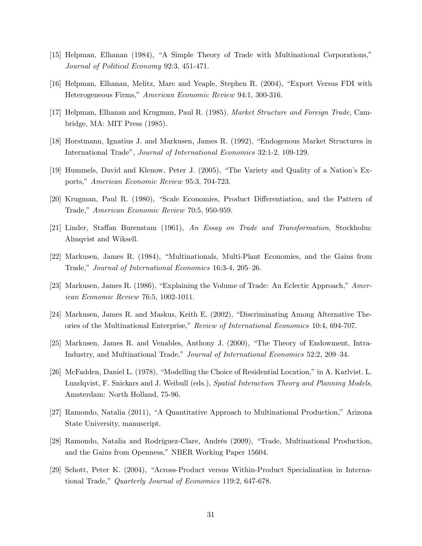- [15] Helpman, Elhanan (1984), "A Simple Theory of Trade with Multinational Corporations," Journal of Political Economy 92:3, 451-471.
- [16] Helpman, Elhanan, Melitz, Marc and Yeaple, Stephen R. (2004), "Export Versus FDI with Heterogeneous Firms," American Economic Review 94:1, 300-316.
- [17] Helpman, Elhanan and Krugman, Paul R. (1985). Market Structure and Foreign Trade, Cambridge, MA: MIT Press (1985).
- [18] Horstmann, Ignatius J. and Markusen, James R. (1992), "Endogenous Market Structures in International Tradeî, Journal of International Economics 32:1-2, 109-129.
- [19] Hummels, David and Klenow, Peter J. (2005), "The Variety and Quality of a Nation's Exports," American Economic Review 95:3, 704-723.
- [20] Krugman, Paul R. (1980), "Scale Economies, Product Differentiation, and the Pattern of Trade," American Economic Review 70:5, 950-959.
- [21] Linder, Staffan Burenstam (1961), An Essay on Trade and Transformation, Stockholm: Almqvist and Wiksell.
- [22] Markusen, James R. (1984), "Multinationals, Multi-Plant Economies, and the Gains from Trade," Journal of International Economics 16:3-4, 205-26.
- [23] Markusen, James R. (1986), "Explaining the Volume of Trade: An Eclectic Approach,"  $Amer$ ican Economic Review 76:5, 1002-1011.
- [24] Markusen, James R. and Maskus, Keith E. (2002), "Discriminating Among Alternative Theories of the Multinational Enterprise," Review of International Economics 10:4, 694-707.
- [25] Markusen, James R. and Venables, Anthony J. (2000), "The Theory of Endowment, Intra-Industry, and Multinational Trade," Journal of International Economics 52:2, 209–34.
- [26] McFadden, Daniel L. (1978), "Modelling the Choice of Residential Location," in A. Karlvist. L. Lundqvist, F. Snickars and J. Weibull (eds.), Spatial Interaction Theory and Planning Models. Amsterdam: North Holland, 75-96.
- $[27]$  Ramondo, Natalia  $(2011)$ , "A Quantitative Approach to Multinational Production," Arizona State University, manuscript.
- [28] Ramondo, Natalia and Rodríguez-Clare, Andrés (2009), "Trade, Multinational Production, and the Gains from Openness," NBER Working Paper 15604.
- [29] Schott, Peter K. (2004), "Across-Product versus Within-Product Specialization in International Trade," Quarterly Journal of Economics 119:2, 647-678.